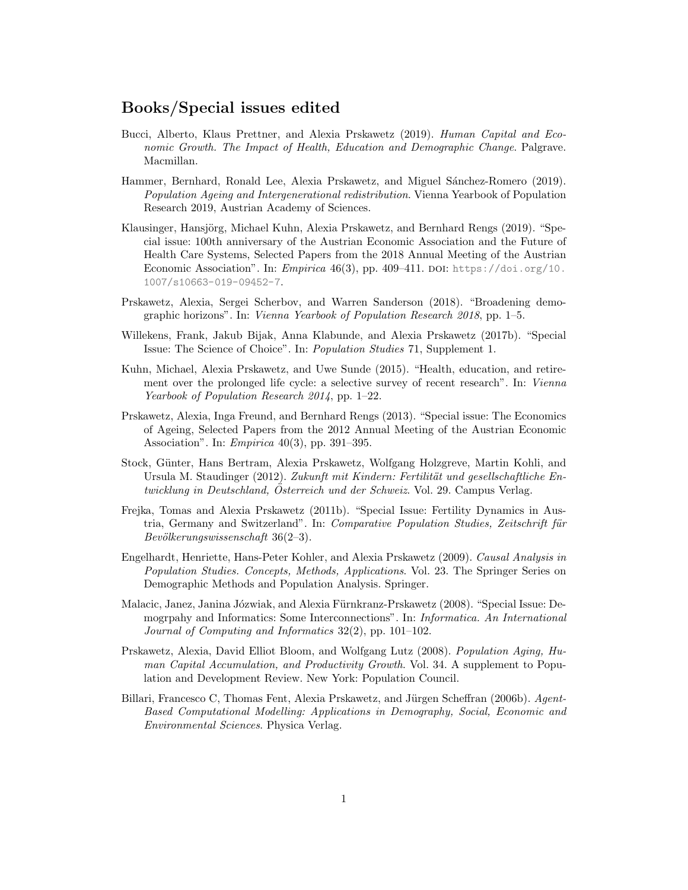## Books/Special issues edited

- Bucci, Alberto, Klaus Prettner, and Alexia Prskawetz (2019). Human Capital and Economic Growth. The Impact of Health, Education and Demographic Change. Palgrave. Macmillan.
- Hammer, Bernhard, Ronald Lee, Alexia Prskawetz, and Miguel Sánchez-Romero (2019). Population Ageing and Intergenerational redistribution. Vienna Yearbook of Population Research 2019, Austrian Academy of Sciences.
- Klausinger, Hansjörg, Michael Kuhn, Alexia Prskawetz, and Bernhard Rengs (2019). "Special issue: 100th anniversary of the Austrian Economic Association and the Future of Health Care Systems, Selected Papers from the 2018 Annual Meeting of the Austrian Economic Association". In: *Empirica*  $46(3)$ , pp.  $409-411$ . DOI: [https://doi.org/10.](https://doi.org/https://doi.org/10.1007/s10663-019-09452-7) [1007/s10663-019-09452-7](https://doi.org/https://doi.org/10.1007/s10663-019-09452-7).
- Prskawetz, Alexia, Sergei Scherbov, and Warren Sanderson (2018). "Broadening demographic horizons". In: Vienna Yearbook of Population Research 2018, pp. 1–5.
- Willekens, Frank, Jakub Bijak, Anna Klabunde, and Alexia Prskawetz (2017b). "Special Issue: The Science of Choice". In: Population Studies 71, Supplement 1.
- Kuhn, Michael, Alexia Prskawetz, and Uwe Sunde (2015). "Health, education, and retirement over the prolonged life cycle: a selective survey of recent research". In: Vienna Yearbook of Population Research 2014, pp. 1–22.
- Prskawetz, Alexia, Inga Freund, and Bernhard Rengs (2013). "Special issue: The Economics of Ageing, Selected Papers from the 2012 Annual Meeting of the Austrian Economic Association". In: Empirica 40(3), pp. 391–395.
- Stock, Günter, Hans Bertram, Alexia Prskawetz, Wolfgang Holzgreve, Martin Kohli, and Ursula M. Staudinger (2012). Zukunft mit Kindern: Fertilität und gesellschaftliche Entwicklung in Deutschland, Osterreich und der Schweiz. Vol. 29. Campus Verlag.
- Frejka, Tomas and Alexia Prskawetz (2011b). "Special Issue: Fertility Dynamics in Austria, Germany and Switzerland". In: Comparative Population Studies, Zeitschrift für  $Bev"o"kerungswissenschaft 36(2–3).$
- Engelhardt, Henriette, Hans-Peter Kohler, and Alexia Prskawetz (2009). Causal Analysis in Population Studies. Concepts, Methods, Applications. Vol. 23. The Springer Series on Demographic Methods and Population Analysis. Springer.
- Malacic, Janez, Janina Józwiak, and Alexia Fürnkranz-Prskawetz (2008). "Special Issue: Demogrpahy and Informatics: Some Interconnections". In: Informatica. An International Journal of Computing and Informatics 32(2), pp. 101–102.
- Prskawetz, Alexia, David Elliot Bloom, and Wolfgang Lutz (2008). Population Aging, Human Capital Accumulation, and Productivity Growth. Vol. 34. A supplement to Population and Development Review. New York: Population Council.
- Billari, Francesco C, Thomas Fent, Alexia Prskawetz, and Jürgen Scheffran (2006b). Agent-Based Computational Modelling: Applications in Demography, Social, Economic and Environmental Sciences. Physica Verlag.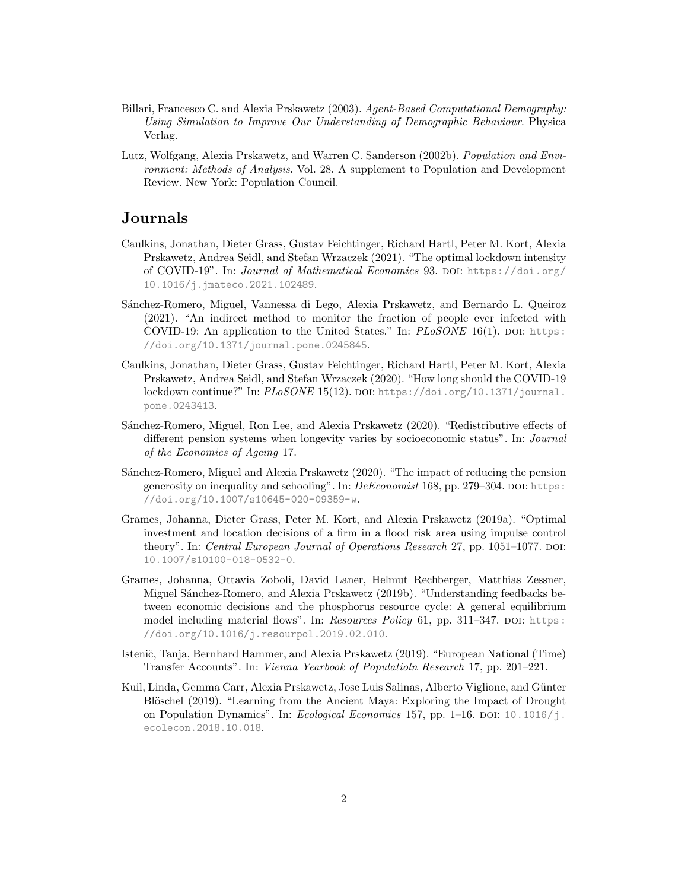- Billari, Francesco C. and Alexia Prskawetz (2003). Agent-Based Computational Demography: Using Simulation to Improve Our Understanding of Demographic Behaviour. Physica Verlag.
- Lutz, Wolfgang, Alexia Prskawetz, and Warren C. Sanderson (2002b). Population and Environment: Methods of Analysis. Vol. 28. A supplement to Population and Development Review. New York: Population Council.

# Journals

- Caulkins, Jonathan, Dieter Grass, Gustav Feichtinger, Richard Hartl, Peter M. Kort, Alexia Prskawetz, Andrea Seidl, and Stefan Wrzaczek (2021). "The optimal lockdown intensity of COVID-19". In: Journal of Mathematical Economics 93. DOI: [https://doi.org/](https://doi.org/https://doi.org/10.1016/j.jmateco.2021.102489) [10.1016/j.jmateco.2021.102489](https://doi.org/https://doi.org/10.1016/j.jmateco.2021.102489).
- S´anchez-Romero, Miguel, Vannessa di Lego, Alexia Prskawetz, and Bernardo L. Queiroz (2021). "An indirect method to monitor the fraction of people ever infected with COVID-19: An application to the United States." In:  $PLoSONE$  16(1). DOI: [https:](https://doi.org/https://doi.org/10.1371/journal.pone.0245845) [//doi.org/10.1371/journal.pone.0245845](https://doi.org/https://doi.org/10.1371/journal.pone.0245845).
- Caulkins, Jonathan, Dieter Grass, Gustav Feichtinger, Richard Hartl, Peter M. Kort, Alexia Prskawetz, Andrea Seidl, and Stefan Wrzaczek (2020). "How long should the COVID-19 lockdown continue?" In: PLoSONE 15(12). DOI: [https://doi.org/10.1371/journal.](https://doi.org/https://doi.org/10.1371/journal.pone.0243413) [pone.0243413](https://doi.org/https://doi.org/10.1371/journal.pone.0243413).
- S´anchez-Romero, Miguel, Ron Lee, and Alexia Prskawetz (2020). "Redistributive effects of different pension systems when longevity varies by socioeconomic status". In: Journal of the Economics of Ageing 17.
- Sánchez-Romero, Miguel and Alexia Prskawetz (2020). "The impact of reducing the pension generosity on inequality and schooling". In: DeEconomist 168, pp. 279–304. DOI: [https:](https://doi.org/https://doi.org/10.1007/s10645-020-09359-w) [//doi.org/10.1007/s10645-020-09359-w](https://doi.org/https://doi.org/10.1007/s10645-020-09359-w).
- Grames, Johanna, Dieter Grass, Peter M. Kort, and Alexia Prskawetz (2019a). "Optimal investment and location decisions of a firm in a flood risk area using impulse control theory". In: Central European Journal of Operations Research 27, pp. 1051–1077. DOI: [10.1007/s10100-018-0532-0](https://doi.org/10.1007/s10100-018-0532-0).
- Grames, Johanna, Ottavia Zoboli, David Laner, Helmut Rechberger, Matthias Zessner, Miguel Sánchez-Romero, and Alexia Prskawetz (2019b). "Understanding feedbacks between economic decisions and the phosphorus resource cycle: A general equilibrium model including material flows". In: Resources Policy 61, pp. 311–347. DOI: [https:](https://doi.org/https://doi.org/10.1016/j.resourpol.2019.02.010) [//doi.org/10.1016/j.resourpol.2019.02.010](https://doi.org/https://doi.org/10.1016/j.resourpol.2019.02.010).
- Istenič, Tanja, Bernhard Hammer, and Alexia Prskawetz (2019). "European National (Time) Transfer Accounts". In: Vienna Yearbook of Populatioln Research 17, pp. 201–221.
- Kuil, Linda, Gemma Carr, Alexia Prskawetz, Jose Luis Salinas, Alberto Viglione, and Günter Blöschel (2019). "Learning from the Ancient Maya: Exploring the Impact of Drought on Population Dynamics". In: *Ecological Economics* 157, pp.  $1\n-16$ . DOI:  $10.1016/j$ . [ecolecon.2018.10.018](https://doi.org/10.1016/j.ecolecon.2018.10.018).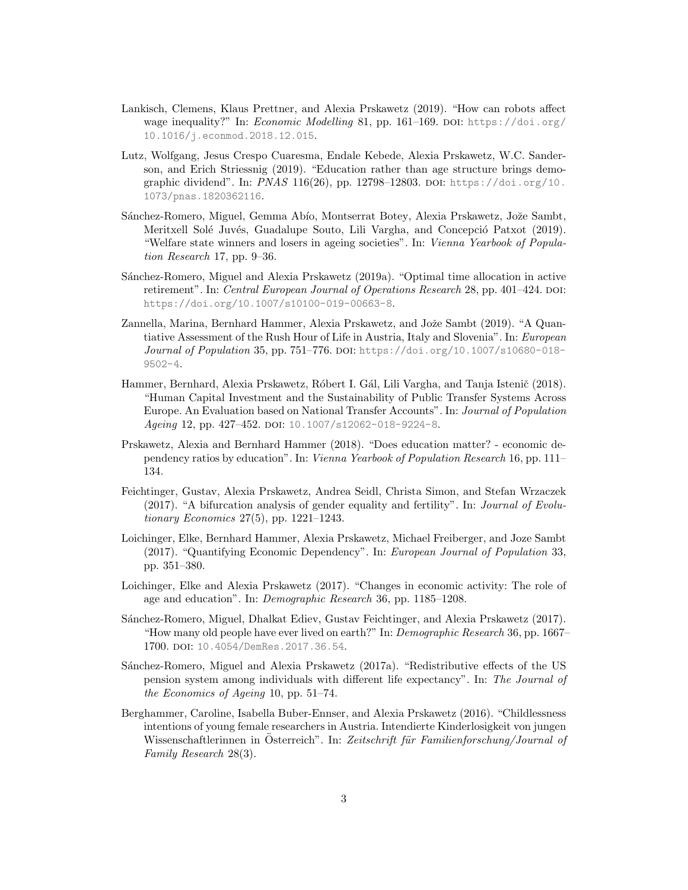- Lankisch, Clemens, Klaus Prettner, and Alexia Prskawetz (2019). "How can robots affect wage inequality?" In: *Economic Modelling* 81, pp. 161–169. DOI: [https://doi.org/](https://doi.org/https://doi.org/10.1016/j.econmod.2018.12.015) [10.1016/j.econmod.2018.12.015](https://doi.org/https://doi.org/10.1016/j.econmod.2018.12.015).
- Lutz, Wolfgang, Jesus Crespo Cuaresma, Endale Kebede, Alexia Prskawetz, W.C. Sanderson, and Erich Striessnig (2019). "Education rather than age structure brings demographic dividend". In: PNAS 116(26), pp. 12798-12803. DOI: [https://doi.org/10.](https://doi.org/https://doi.org/10.1073/pnas.1820362116) [1073/pnas.1820362116](https://doi.org/https://doi.org/10.1073/pnas.1820362116).
- Sánchez-Romero, Miguel, Gemma Abío, Montserrat Botey, Alexia Prskawetz, Jože Sambt, Meritxell Solé Juvés, Guadalupe Souto, Lili Vargha, and Concepció Patxot (2019). "Welfare state winners and losers in ageing societies". In: Vienna Yearbook of Population Research 17, pp. 9–36.
- S´anchez-Romero, Miguel and Alexia Prskawetz (2019a). "Optimal time allocation in active retirement". In: Central European Journal of Operations Research 28, pp. 401–424. DOI: [https://doi.org/10.1007/s10100-019-00663-8](https://doi.org/https://doi.org/10.1007/s10100-019-00663-8).
- Zannella, Marina, Bernhard Hammer, Alexia Prskawetz, and Jože Sambt (2019). "A Quantiative Assessment of the Rush Hour of Life in Austria, Italy and Slovenia". In: European Journal of Population 35, pp. 751–776. DOI: [https://doi.org/10.1007/s10680-018-](https://doi.org/https://doi.org/10.1007/s10680-018-9502-4) [9502-4](https://doi.org/https://doi.org/10.1007/s10680-018-9502-4).
- Hammer, Bernhard, Alexia Prskawetz, Róbert I. Gál, Lili Vargha, and Tanja Istenič (2018). "Human Capital Investment and the Sustainability of Public Transfer Systems Across Europe. An Evaluation based on National Transfer Accounts". In: Journal of Population Ageing 12, pp. 427-452. DOI: [10.1007/s12062-018-9224-8](https://doi.org/10.1007/s12062-018-9224-8).
- Prskawetz, Alexia and Bernhard Hammer (2018). "Does education matter? economic dependency ratios by education". In: Vienna Yearbook of Population Research 16, pp. 111– 134.
- Feichtinger, Gustav, Alexia Prskawetz, Andrea Seidl, Christa Simon, and Stefan Wrzaczek (2017). "A bifurcation analysis of gender equality and fertility". In: *Journal of Evolu*tionary Economics 27(5), pp. 1221–1243.
- Loichinger, Elke, Bernhard Hammer, Alexia Prskawetz, Michael Freiberger, and Joze Sambt (2017). "Quantifying Economic Dependency". In: European Journal of Population 33, pp. 351–380.
- Loichinger, Elke and Alexia Prskawetz (2017). "Changes in economic activity: The role of age and education". In: Demographic Research 36, pp. 1185–1208.
- S´anchez-Romero, Miguel, Dhalkat Ediev, Gustav Feichtinger, and Alexia Prskawetz (2017). "How many old people have ever lived on earth?" In: Demographic Research 36, pp. 1667– 1700. doi: [10.4054/DemRes.2017.36.54](https://doi.org/10.4054/DemRes.2017.36.54).
- Sánchez-Romero, Miguel and Alexia Prskawetz (2017a). "Redistributive effects of the US pension system among individuals with different life expectancy". In: The Journal of the Economics of Ageing 10, pp. 51–74.
- Berghammer, Caroline, Isabella Buber-Ennser, and Alexia Prskawetz (2016). "Childlessness intentions of young female researchers in Austria. Intendierte Kinderlosigkeit von jungen Wissenschaftlerinnen in Österreich". In: Zeitschrift für Familienforschung/Journal of Family Research 28(3).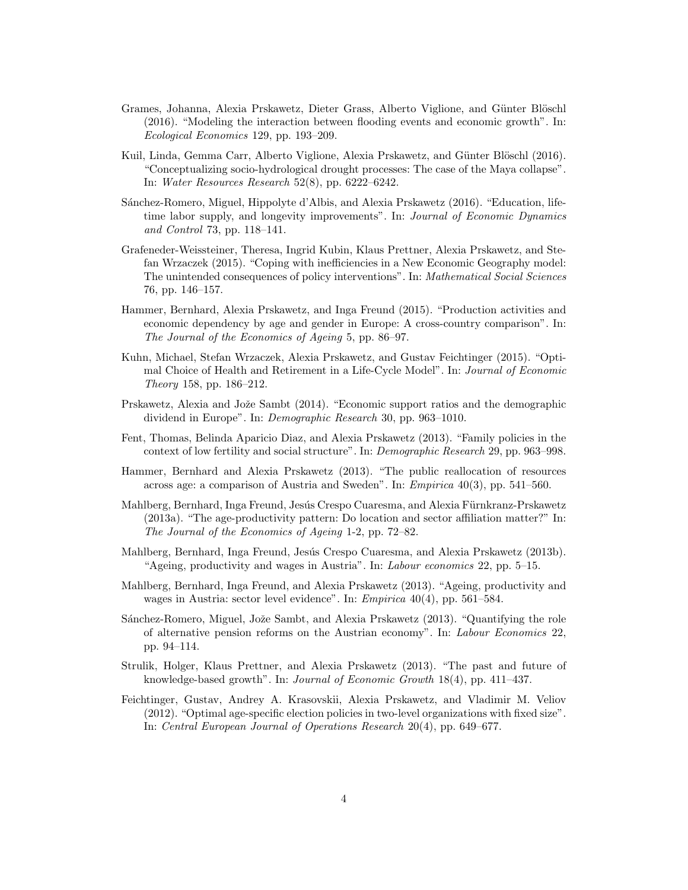- Grames, Johanna, Alexia Prskawetz, Dieter Grass, Alberto Viglione, and Günter Blöschl (2016). "Modeling the interaction between flooding events and economic growth". In: Ecological Economics 129, pp. 193–209.
- Kuil, Linda, Gemma Carr, Alberto Viglione, Alexia Prskawetz, and Günter Blöschl (2016). "Conceptualizing socio-hydrological drought processes: The case of the Maya collapse". In: Water Resources Research 52(8), pp. 6222–6242.
- Sánchez-Romero, Miguel, Hippolyte d'Albis, and Alexia Prskawetz (2016). "Education, lifetime labor supply, and longevity improvements". In: Journal of Economic Dynamics and Control 73, pp. 118–141.
- Grafeneder-Weissteiner, Theresa, Ingrid Kubin, Klaus Prettner, Alexia Prskawetz, and Stefan Wrzaczek (2015). "Coping with inefficiencies in a New Economic Geography model: The unintended consequences of policy interventions". In: Mathematical Social Sciences 76, pp. 146–157.
- Hammer, Bernhard, Alexia Prskawetz, and Inga Freund (2015). "Production activities and economic dependency by age and gender in Europe: A cross-country comparison". In: The Journal of the Economics of Ageing 5, pp. 86–97.
- Kuhn, Michael, Stefan Wrzaczek, Alexia Prskawetz, and Gustav Feichtinger (2015). "Optimal Choice of Health and Retirement in a Life-Cycle Model". In: Journal of Economic Theory 158, pp. 186–212.
- Prskawetz, Alexia and Jože Sambt (2014). "Economic support ratios and the demographic dividend in Europe". In: Demographic Research 30, pp. 963–1010.
- Fent, Thomas, Belinda Aparicio Diaz, and Alexia Prskawetz (2013). "Family policies in the context of low fertility and social structure". In: Demographic Research 29, pp. 963–998.
- Hammer, Bernhard and Alexia Prskawetz (2013). "The public reallocation of resources across age: a comparison of Austria and Sweden". In: Empirica 40(3), pp. 541–560.
- Mahlberg, Bernhard, Inga Freund, Jesús Crespo Cuaresma, and Alexia Fürnkranz-Prskawetz (2013a). "The age-productivity pattern: Do location and sector affiliation matter?" In: The Journal of the Economics of Ageing 1-2, pp. 72–82.
- Mahlberg, Bernhard, Inga Freund, Jesús Crespo Cuaresma, and Alexia Prskawetz (2013b). "Ageing, productivity and wages in Austria". In: Labour economics 22, pp. 5–15.
- Mahlberg, Bernhard, Inga Freund, and Alexia Prskawetz (2013). "Ageing, productivity and wages in Austria: sector level evidence". In: *Empirica* 40(4), pp. 561–584.
- Sánchez-Romero, Miguel, Jože Sambt, and Alexia Prskawetz (2013). "Quantifying the role of alternative pension reforms on the Austrian economy". In: Labour Economics 22, pp. 94–114.
- Strulik, Holger, Klaus Prettner, and Alexia Prskawetz (2013). "The past and future of knowledge-based growth". In: Journal of Economic Growth 18(4), pp. 411–437.
- Feichtinger, Gustav, Andrey A. Krasovskii, Alexia Prskawetz, and Vladimir M. Veliov (2012). "Optimal age-specific election policies in two-level organizations with fixed size". In: Central European Journal of Operations Research 20(4), pp. 649–677.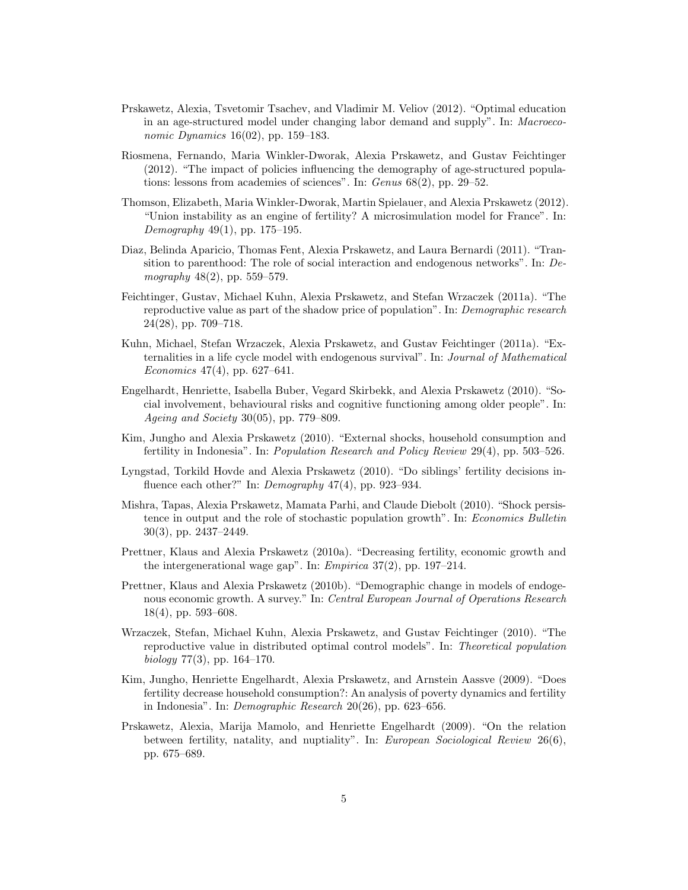- Prskawetz, Alexia, Tsvetomir Tsachev, and Vladimir M. Veliov (2012). "Optimal education in an age-structured model under changing labor demand and supply". In: Macroeconomic Dynamics 16(02), pp. 159–183.
- Riosmena, Fernando, Maria Winkler-Dworak, Alexia Prskawetz, and Gustav Feichtinger (2012). "The impact of policies influencing the demography of age-structured populations: lessons from academies of sciences". In: Genus 68(2), pp. 29–52.
- Thomson, Elizabeth, Maria Winkler-Dworak, Martin Spielauer, and Alexia Prskawetz (2012). "Union instability as an engine of fertility? A microsimulation model for France". In: Demography  $49(1)$ , pp. 175–195.
- Diaz, Belinda Aparicio, Thomas Fent, Alexia Prskawetz, and Laura Bernardi (2011). "Transition to parenthood: The role of social interaction and endogenous networks". In: Demography 48(2), pp. 559–579.
- Feichtinger, Gustav, Michael Kuhn, Alexia Prskawetz, and Stefan Wrzaczek (2011a). "The reproductive value as part of the shadow price of population". In: Demographic research 24(28), pp. 709–718.
- Kuhn, Michael, Stefan Wrzaczek, Alexia Prskawetz, and Gustav Feichtinger (2011a). "Externalities in a life cycle model with endogenous survival". In: Journal of Mathematical Economics  $47(4)$ , pp. 627–641.
- Engelhardt, Henriette, Isabella Buber, Vegard Skirbekk, and Alexia Prskawetz (2010). "Social involvement, behavioural risks and cognitive functioning among older people". In: Ageing and Society 30(05), pp. 779–809.
- Kim, Jungho and Alexia Prskawetz (2010). "External shocks, household consumption and fertility in Indonesia". In: Population Research and Policy Review 29(4), pp. 503–526.
- Lyngstad, Torkild Hovde and Alexia Prskawetz (2010). "Do siblings' fertility decisions influence each other?" In: Demography 47(4), pp. 923–934.
- Mishra, Tapas, Alexia Prskawetz, Mamata Parhi, and Claude Diebolt (2010). "Shock persistence in output and the role of stochastic population growth". In: Economics Bulletin 30(3), pp. 2437–2449.
- Prettner, Klaus and Alexia Prskawetz (2010a). "Decreasing fertility, economic growth and the intergenerational wage gap". In: Empirica 37(2), pp. 197–214.
- Prettner, Klaus and Alexia Prskawetz (2010b). "Demographic change in models of endogenous economic growth. A survey." In: Central European Journal of Operations Research 18(4), pp. 593–608.
- Wrzaczek, Stefan, Michael Kuhn, Alexia Prskawetz, and Gustav Feichtinger (2010). "The reproductive value in distributed optimal control models". In: Theoretical population  $\frac{biology}{77(3)}$ , pp. 164–170.
- Kim, Jungho, Henriette Engelhardt, Alexia Prskawetz, and Arnstein Aassve (2009). "Does fertility decrease household consumption?: An analysis of poverty dynamics and fertility in Indonesia". In: Demographic Research 20(26), pp. 623–656.
- Prskawetz, Alexia, Marija Mamolo, and Henriette Engelhardt (2009). "On the relation between fertility, natality, and nuptiality". In: European Sociological Review 26(6), pp. 675–689.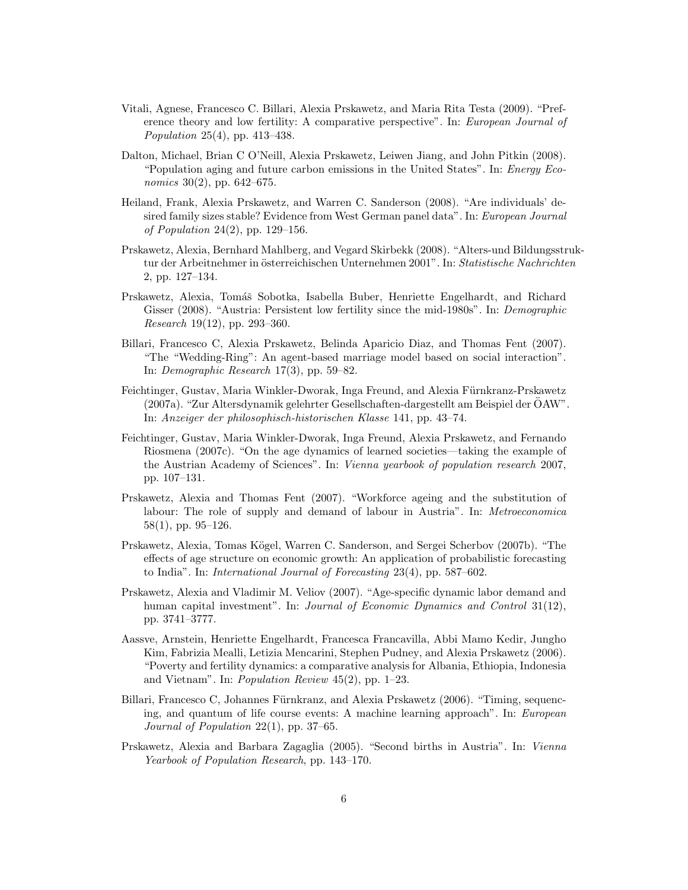- Vitali, Agnese, Francesco C. Billari, Alexia Prskawetz, and Maria Rita Testa (2009). "Preference theory and low fertility: A comparative perspective". In: European Journal of Population 25(4), pp. 413–438.
- Dalton, Michael, Brian C O'Neill, Alexia Prskawetz, Leiwen Jiang, and John Pitkin (2008). "Population aging and future carbon emissions in the United States". In: Energy Eco*nomics* 30(2), pp. 642–675.
- Heiland, Frank, Alexia Prskawetz, and Warren C. Sanderson (2008). "Are individuals' desired family sizes stable? Evidence from West German panel data". In: European Journal of Population 24(2), pp. 129–156.
- Prskawetz, Alexia, Bernhard Mahlberg, and Vegard Skirbekk (2008). "Alters-und Bildungsstruktur der Arbeitnehmer in österreichischen Unternehmen 2001". In: Statistische Nachrichten 2, pp. 127–134.
- Prskawetz, Alexia, Tomáš Sobotka, Isabella Buber, Henriette Engelhardt, and Richard Gisser (2008). "Austria: Persistent low fertility since the mid-1980s". In: *Demographic* Research 19(12), pp. 293–360.
- Billari, Francesco C, Alexia Prskawetz, Belinda Aparicio Diaz, and Thomas Fent (2007). "The "Wedding-Ring": An agent-based marriage model based on social interaction". In: Demographic Research 17(3), pp. 59–82.
- Feichtinger, Gustav, Maria Winkler-Dworak, Inga Freund, and Alexia Fürnkranz-Prskawetz (2007a). "Zur Altersdynamik gelehrter Gesellschaften-dargestellt am Beispiel der OAW". ¨ In: Anzeiger der philosophisch-historischen Klasse 141, pp. 43–74.
- Feichtinger, Gustav, Maria Winkler-Dworak, Inga Freund, Alexia Prskawetz, and Fernando Riosmena (2007c). "On the age dynamics of learned societies—taking the example of the Austrian Academy of Sciences". In: Vienna yearbook of population research 2007, pp. 107–131.
- Prskawetz, Alexia and Thomas Fent (2007). "Workforce ageing and the substitution of labour: The role of supply and demand of labour in Austria". In: Metroeconomica 58(1), pp. 95–126.
- Prskawetz, Alexia, Tomas Kögel, Warren C. Sanderson, and Sergei Scherbov (2007b). "The effects of age structure on economic growth: An application of probabilistic forecasting to India". In: International Journal of Forecasting 23(4), pp. 587–602.
- Prskawetz, Alexia and Vladimir M. Veliov (2007). "Age-specific dynamic labor demand and human capital investment". In: Journal of Economic Dynamics and Control 31(12), pp. 3741–3777.
- Aassve, Arnstein, Henriette Engelhardt, Francesca Francavilla, Abbi Mamo Kedir, Jungho Kim, Fabrizia Mealli, Letizia Mencarini, Stephen Pudney, and Alexia Prskawetz (2006). "Poverty and fertility dynamics: a comparative analysis for Albania, Ethiopia, Indonesia and Vietnam". In: Population Review 45(2), pp. 1–23.
- Billari, Francesco C, Johannes Fürnkranz, and Alexia Prskawetz (2006). "Timing, sequencing, and quantum of life course events: A machine learning approach". In: European Journal of Population 22(1), pp. 37–65.
- Prskawetz, Alexia and Barbara Zagaglia (2005). "Second births in Austria". In: Vienna Yearbook of Population Research, pp. 143–170.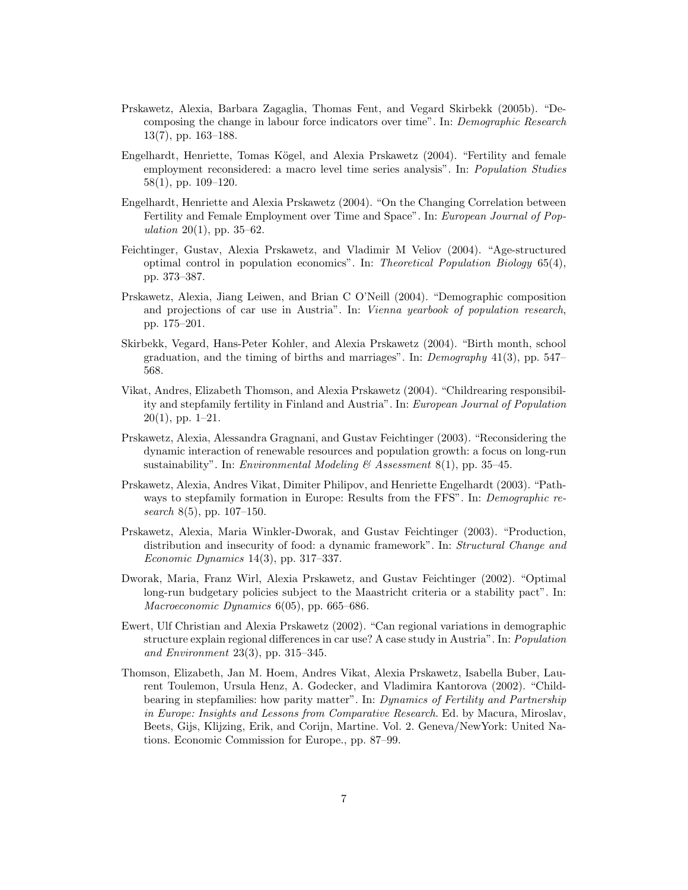- Prskawetz, Alexia, Barbara Zagaglia, Thomas Fent, and Vegard Skirbekk (2005b). "Decomposing the change in labour force indicators over time". In: Demographic Research 13(7), pp. 163–188.
- Engelhardt, Henriette, Tomas Kögel, and Alexia Prskawetz (2004). "Fertility and female employment reconsidered: a macro level time series analysis". In: Population Studies 58(1), pp. 109–120.
- Engelhardt, Henriette and Alexia Prskawetz (2004). "On the Changing Correlation between Fertility and Female Employment over Time and Space". In: European Journal of Population 20(1), pp. 35–62.
- Feichtinger, Gustav, Alexia Prskawetz, and Vladimir M Veliov (2004). "Age-structured optimal control in population economics". In: Theoretical Population Biology 65(4), pp. 373–387.
- Prskawetz, Alexia, Jiang Leiwen, and Brian C O'Neill (2004). "Demographic composition and projections of car use in Austria". In: Vienna yearbook of population research, pp. 175–201.
- Skirbekk, Vegard, Hans-Peter Kohler, and Alexia Prskawetz (2004). "Birth month, school graduation, and the timing of births and marriages". In: Demography 41(3), pp. 547– 568.
- Vikat, Andres, Elizabeth Thomson, and Alexia Prskawetz (2004). "Childrearing responsibility and stepfamily fertility in Finland and Austria". In: European Journal of Population  $20(1)$ , pp. 1–21.
- Prskawetz, Alexia, Alessandra Gragnani, and Gustav Feichtinger (2003). "Reconsidering the dynamic interaction of renewable resources and population growth: a focus on long-run sustainability". In: Environmental Modeling & Assessment 8(1), pp. 35–45.
- Prskawetz, Alexia, Andres Vikat, Dimiter Philipov, and Henriette Engelhardt (2003). "Pathways to stepfamily formation in Europe: Results from the FFS". In: Demographic research  $8(5)$ , pp. 107–150.
- Prskawetz, Alexia, Maria Winkler-Dworak, and Gustav Feichtinger (2003). "Production, distribution and insecurity of food: a dynamic framework". In: Structural Change and Economic Dynamics 14(3), pp. 317–337.
- Dworak, Maria, Franz Wirl, Alexia Prskawetz, and Gustav Feichtinger (2002). "Optimal long-run budgetary policies subject to the Maastricht criteria or a stability pact". In: Macroeconomic Dynamics 6(05), pp. 665–686.
- Ewert, Ulf Christian and Alexia Prskawetz (2002). "Can regional variations in demographic structure explain regional differences in car use? A case study in Austria". In: Population and Environment 23(3), pp. 315–345.
- Thomson, Elizabeth, Jan M. Hoem, Andres Vikat, Alexia Prskawetz, Isabella Buber, Laurent Toulemon, Ursula Henz, A. Godecker, and Vladimira Kantorova (2002). "Childbearing in stepfamilies: how parity matter". In: Dynamics of Fertility and Partnership in Europe: Insights and Lessons from Comparative Research. Ed. by Macura, Miroslav, Beets, Gijs, Klijzing, Erik, and Corijn, Martine. Vol. 2. Geneva/NewYork: United Nations. Economic Commission for Europe., pp. 87–99.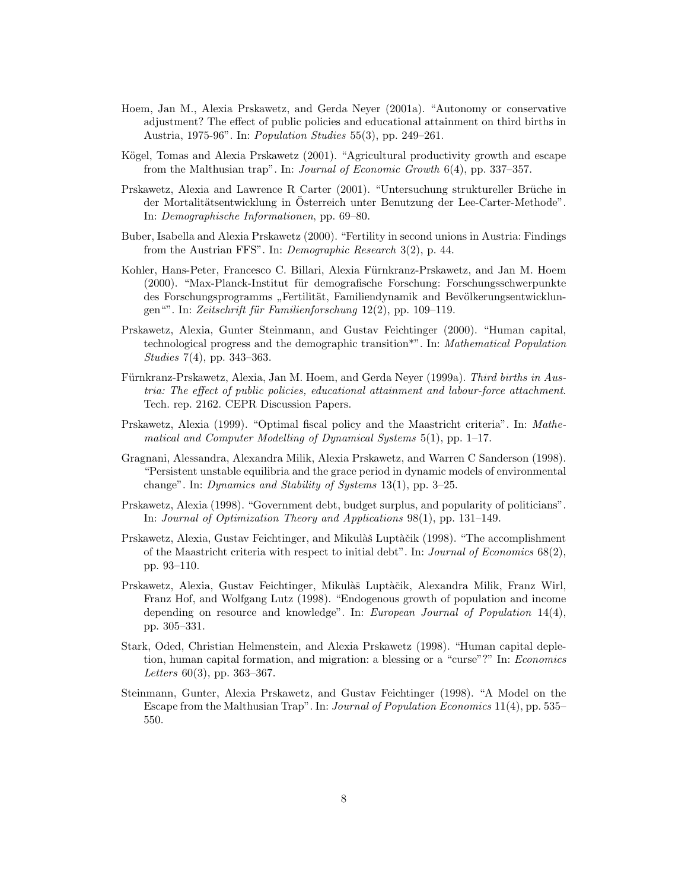- Hoem, Jan M., Alexia Prskawetz, and Gerda Neyer (2001a). "Autonomy or conservative adjustment? The effect of public policies and educational attainment on third births in Austria, 1975-96". In: Population Studies 55(3), pp. 249–261.
- Kögel, Tomas and Alexia Prskawetz (2001). "Agricultural productivity growth and escape from the Malthusian trap". In: Journal of Economic Growth 6(4), pp. 337–357.
- Prskawetz, Alexia and Lawrence R Carter (2001). "Untersuchung struktureller Brüche in der Mortalitätsentwicklung in Osterreich unter Benutzung der Lee-Carter-Methode". In: Demographische Informationen, pp. 69–80.
- Buber, Isabella and Alexia Prskawetz (2000). "Fertility in second unions in Austria: Findings from the Austrian FFS". In: Demographic Research 3(2), p. 44.
- Kohler, Hans-Peter, Francesco C. Billari, Alexia Fürnkranz-Prskawetz, and Jan M. Hoem (2000). "Max-Planck-Institut für demografische Forschung: Forschungsschwerpunkte des Forschungsprogramms "Fertilität, Familiendynamik and Bevölkerungsentwicklun-<br>  $\lim_{n \to \infty} E_{\text{rel}}(t) = E_{\text{rel}}(t) = \lim_{n \to \infty} 12(0) = 110$ gen"". In: Zeitschrift für Familienforschung 12(2), pp. 109–119.
- Prskawetz, Alexia, Gunter Steinmann, and Gustav Feichtinger (2000). "Human capital, technological progress and the demographic transition\*". In: Mathematical Population Studies 7(4), pp. 343–363.
- Fürnkranz-Prskawetz, Alexia, Jan M. Hoem, and Gerda Neyer (1999a). Third births in Austria: The effect of public policies, educational attainment and labour-force attachment. Tech. rep. 2162. CEPR Discussion Papers.
- Prskawetz, Alexia (1999). "Optimal fiscal policy and the Maastricht criteria". In: Mathematical and Computer Modelling of Dynamical Systems 5(1), pp. 1–17.
- Gragnani, Alessandra, Alexandra Milik, Alexia Prskawetz, and Warren C Sanderson (1998). "Persistent unstable equilibria and the grace period in dynamic models of environmental change". In: Dynamics and Stability of Systems 13(1), pp. 3–25.
- Prskawetz, Alexia (1998). "Government debt, budget surplus, and popularity of politicians". In: Journal of Optimization Theory and Applications 98(1), pp. 131–149.
- Prskawetz, Alexia, Gustav Feichtinger, and Mikulàš Luptàčik (1998). "The accomplishment of the Maastricht criteria with respect to initial debt". In: Journal of Economics 68(2), pp. 93–110.
- Prskawetz, Alexia, Gustav Feichtinger, Mikulàš Luptàčik, Alexandra Milik, Franz Wirl, Franz Hof, and Wolfgang Lutz (1998). "Endogenous growth of population and income depending on resource and knowledge". In: European Journal of Population 14(4), pp. 305–331.
- Stark, Oded, Christian Helmenstein, and Alexia Prskawetz (1998). "Human capital depletion, human capital formation, and migration: a blessing or a "curse"?" In: Economics Letters  $60(3)$ , pp. 363-367.
- Steinmann, Gunter, Alexia Prskawetz, and Gustav Feichtinger (1998). "A Model on the Escape from the Malthusian Trap". In: Journal of Population Economics 11(4), pp. 535– 550.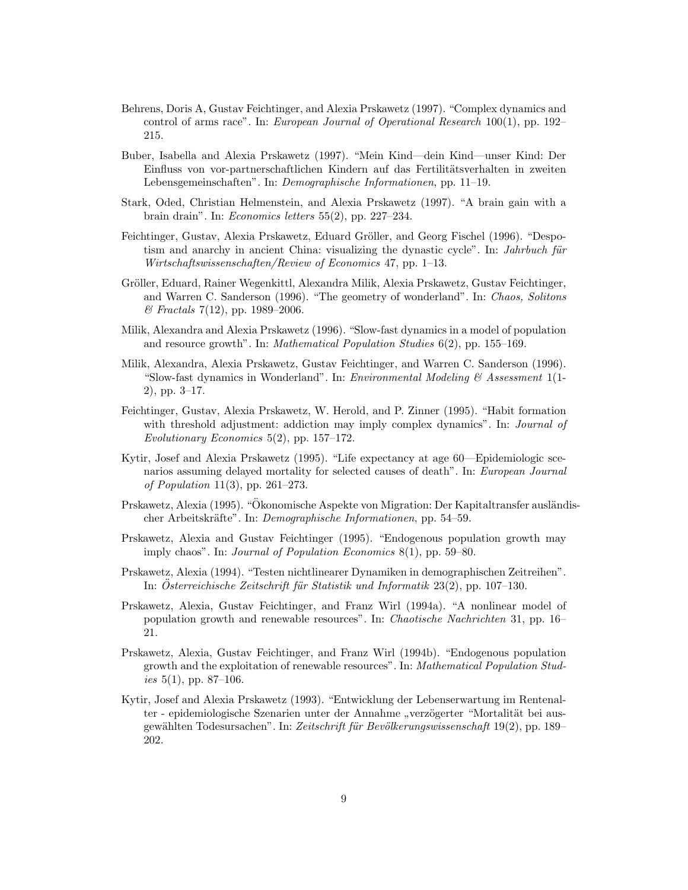- Behrens, Doris A, Gustav Feichtinger, and Alexia Prskawetz (1997). "Complex dynamics and control of arms race". In: European Journal of Operational Research 100(1), pp. 192– 215.
- Buber, Isabella and Alexia Prskawetz (1997). "Mein Kind—dein Kind—unser Kind: Der Einfluss von vor-partnerschaftlichen Kindern auf das Fertilitätsverhalten in zweiten Lebensgemeinschaften". In: Demographische Informationen, pp. 11–19.
- Stark, Oded, Christian Helmenstein, and Alexia Prskawetz (1997). "A brain gain with a brain drain". In: Economics letters 55(2), pp. 227–234.
- Feichtinger, Gustav, Alexia Prskawetz, Eduard Gröller, and Georg Fischel (1996). "Despotism and anarchy in ancient China: visualizing the dynastic cycle". In: *Jahrbuch für* Wirtschaftswissenschaften/Review of Economics 47, pp. 1–13.
- Gröller, Eduard, Rainer Wegenkittl, Alexandra Milik, Alexia Prskawetz, Gustav Feichtinger, and Warren C. Sanderson (1996). "The geometry of wonderland". In: Chaos, Solitons  $\mathcal{B}$  Fractals 7(12), pp. 1989–2006.
- Milik, Alexandra and Alexia Prskawetz (1996). "Slow-fast dynamics in a model of population and resource growth". In: *Mathematical Population Studies*  $6(2)$ , pp. 155–169.
- Milik, Alexandra, Alexia Prskawetz, Gustav Feichtinger, and Warren C. Sanderson (1996). "Slow-fast dynamics in Wonderland". In: *Environmental Modeling*  $\&$  Assessment 1(1-2), pp. 3–17.
- Feichtinger, Gustav, Alexia Prskawetz, W. Herold, and P. Zinner (1995). "Habit formation with threshold adjustment: addiction may imply complex dynamics". In: *Journal of* Evolutionary Economics 5(2), pp. 157–172.
- Kytir, Josef and Alexia Prskawetz (1995). "Life expectancy at age 60—Epidemiologic scenarios assuming delayed mortality for selected causes of death". In: European Journal of Population 11(3), pp. 261–273.
- Prskawetz, Alexia (1995). "Ökonomische Aspekte von Migration: Der Kapitaltransfer ausländischer Arbeitskräfte". In: Demographische Informationen, pp. 54–59.
- Prskawetz, Alexia and Gustav Feichtinger (1995). "Endogenous population growth may imply chaos". In: Journal of Population Economics 8(1), pp. 59–80.
- Prskawetz, Alexia (1994). "Testen nichtlinearer Dynamiken in demographischen Zeitreihen". In: Österreichische Zeitschrift für Statistik und Informatik  $23(2)$ , pp. 107–130.
- Prskawetz, Alexia, Gustav Feichtinger, and Franz Wirl (1994a). "A nonlinear model of population growth and renewable resources". In: Chaotische Nachrichten 31, pp. 16– 21.
- Prskawetz, Alexia, Gustav Feichtinger, and Franz Wirl (1994b). "Endogenous population growth and the exploitation of renewable resources". In: Mathematical Population Studies  $5(1)$ , pp. 87–106.
- Kytir, Josef and Alexia Prskawetz (1993). "Entwicklung der Lebenserwartung im Rentenalter - epidemiologische Szenarien unter der Annahme "verzögerter "Mortalität bei aus-<br>sensiblen Technose kullen Zeitzehnitt für Banälkung zurigenze keft 10(3) zur 190 gewählten Todesursachen". In: *Zeitschrift für Bevölkerungswissenschaft* 19(2), pp. 189– 202.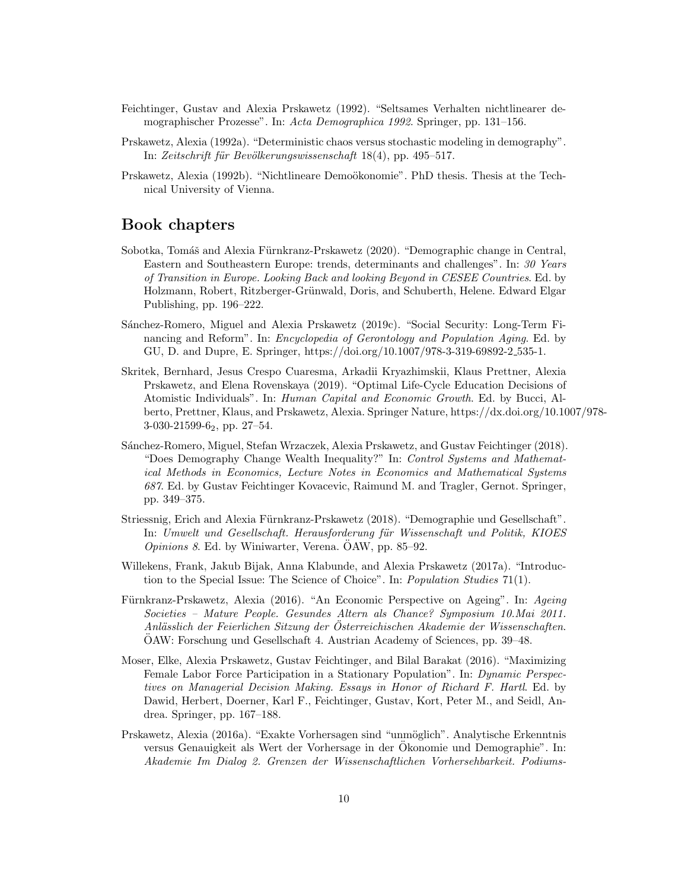- Feichtinger, Gustav and Alexia Prskawetz (1992). "Seltsames Verhalten nichtlinearer demographischer Prozesse". In: Acta Demographica 1992. Springer, pp. 131–156.
- Prskawetz, Alexia (1992a). "Deterministic chaos versus stochastic modeling in demography". In: Zeitschrift für Bevölkerungswissenschaft 18(4), pp. 495–517.
- Prskawetz, Alexia (1992b). "Nichtlineare Demoökonomie". PhD thesis. Thesis at the Technical University of Vienna.

## Book chapters

- Sobotka, Tomáš and Alexia Fürnkranz-Prskawetz (2020). "Demographic change in Central, Eastern and Southeastern Europe: trends, determinants and challenges". In: 30 Years of Transition in Europe. Looking Back and looking Beyond in CESEE Countries. Ed. by Holzmann, Robert, Ritzberger-Grünwald, Doris, and Schuberth, Helene. Edward Elgar Publishing, pp. 196–222.
- Sánchez-Romero, Miguel and Alexia Prskawetz (2019c). "Social Security: Long-Term Financing and Reform". In: *Encyclopedia of Gerontology and Population Aging*. Ed. by GU, D. and Dupre, E. Springer, https://doi.org/10.1007/978-3-319-69892-2 535-1.
- Skritek, Bernhard, Jesus Crespo Cuaresma, Arkadii Kryazhimskii, Klaus Prettner, Alexia Prskawetz, and Elena Rovenskaya (2019). "Optimal Life-Cycle Education Decisions of Atomistic Individuals". In: Human Capital and Economic Growth. Ed. by Bucci, Alberto, Prettner, Klaus, and Prskawetz, Alexia. Springer Nature, https://dx.doi.org/10.1007/978- 3-030-21599-62, pp. 27–54.
- S´anchez-Romero, Miguel, Stefan Wrzaczek, Alexia Prskawetz, and Gustav Feichtinger (2018). "Does Demography Change Wealth Inequality?" In: Control Systems and Mathematical Methods in Economics, Lecture Notes in Economics and Mathematical Systems 687. Ed. by Gustav Feichtinger Kovacevic, Raimund M. and Tragler, Gernot. Springer, pp. 349–375.
- Striessnig, Erich and Alexia Fürnkranz-Prskawetz (2018). "Demographie und Gesellschaft". In: Umwelt und Gesellschaft. Herausforderung für Wissenschaft und Politik, KIOES  $Opinions$  8. Ed. by Winiwarter, Verena. OAW, pp. 85–92.
- Willekens, Frank, Jakub Bijak, Anna Klabunde, and Alexia Prskawetz (2017a). "Introduction to the Special Issue: The Science of Choice". In: Population Studies 71(1).
- Fürnkranz-Prskawetz, Alexia (2016). "An Economic Perspective on Ageing". In: Ageing Societies – Mature People. Gesundes Altern als Chance? Symposium 10.Mai 2011. Anlässlich der Feierlichen Sitzung der Österreichischen Akademie der Wissenschaften. OAW: Forschung und Gesellschaft 4. Austrian Academy of Sciences, pp. 39–48. ¨
- Moser, Elke, Alexia Prskawetz, Gustav Feichtinger, and Bilal Barakat (2016). "Maximizing Female Labor Force Participation in a Stationary Population". In: Dynamic Perspectives on Managerial Decision Making. Essays in Honor of Richard F. Hartl. Ed. by Dawid, Herbert, Doerner, Karl F., Feichtinger, Gustav, Kort, Peter M., and Seidl, Andrea. Springer, pp. 167–188.
- Prskawetz, Alexia (2016a). "Exakte Vorhersagen sind "unmöglich". Analytische Erkenntnis versus Genauigkeit als Wert der Vorhersage in der Okonomie und Demographie". In: ¨ Akademie Im Dialog 2. Grenzen der Wissenschaftlichen Vorhersehbarkeit. Podiums-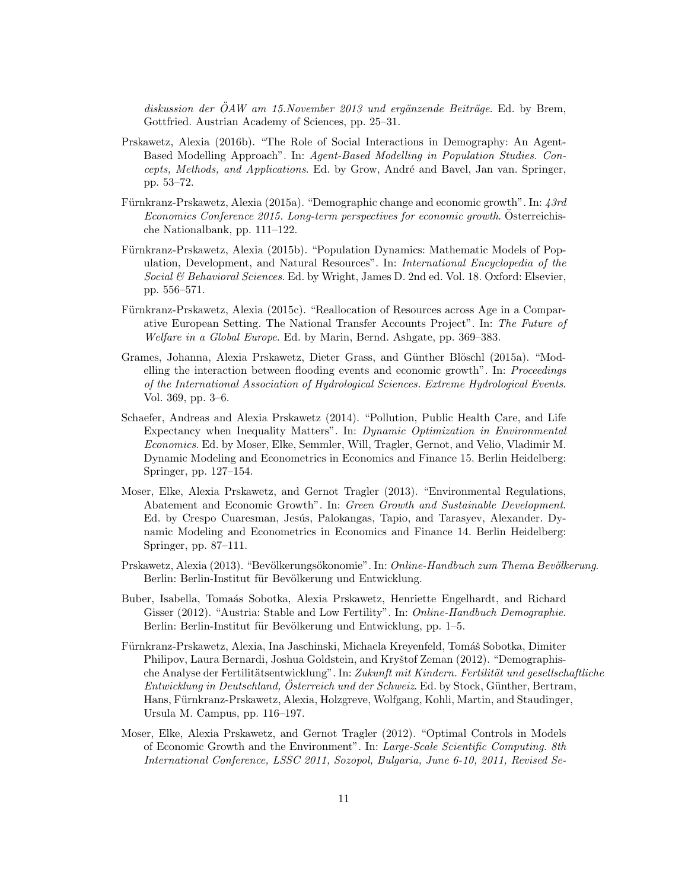$diskussion$  der  $\ddot{O}AW$  am 15.November 2013 und ergänzende Beiträge. Ed. by Brem, Gottfried. Austrian Academy of Sciences, pp. 25–31.

- Prskawetz, Alexia (2016b). "The Role of Social Interactions in Demography: An Agent-Based Modelling Approach". In: Agent-Based Modelling in Population Studies. Concepts, Methods, and Applications. Ed. by Grow, André and Bavel, Jan van. Springer, pp. 53–72.
- Fürnkranz-Prskawetz, Alexia (2015a). "Demographic change and economic growth". In:  $43rd$ Economics Conference 2015. Long-term perspectives for economic growth. Osterreichische Nationalbank, pp. 111–122.
- Fürnkranz-Prskawetz, Alexia (2015b). "Population Dynamics: Mathematic Models of Population, Development, and Natural Resources". In: International Encyclopedia of the Social & Behavioral Sciences. Ed. by Wright, James D. 2nd ed. Vol. 18. Oxford: Elsevier, pp. 556–571.
- Fürnkranz-Prskawetz, Alexia (2015c). "Reallocation of Resources across Age in a Comparative European Setting. The National Transfer Accounts Project". In: The Future of Welfare in a Global Europe. Ed. by Marin, Bernd. Ashgate, pp. 369–383.
- Grames, Johanna, Alexia Prskawetz, Dieter Grass, and Günther Blöschl (2015a). "Modelling the interaction between flooding events and economic growth". In: Proceedings of the International Association of Hydrological Sciences. Extreme Hydrological Events. Vol. 369, pp. 3–6.
- Schaefer, Andreas and Alexia Prskawetz (2014). "Pollution, Public Health Care, and Life Expectancy when Inequality Matters". In: Dynamic Optimization in Environmental Economics. Ed. by Moser, Elke, Semmler, Will, Tragler, Gernot, and Velio, Vladimir M. Dynamic Modeling and Econometrics in Economics and Finance 15. Berlin Heidelberg: Springer, pp. 127–154.
- Moser, Elke, Alexia Prskawetz, and Gernot Tragler (2013). "Environmental Regulations, Abatement and Economic Growth". In: Green Growth and Sustainable Development. Ed. by Crespo Cuaresman, Jesús, Palokangas, Tapio, and Tarasyev, Alexander. Dynamic Modeling and Econometrics in Economics and Finance 14. Berlin Heidelberg: Springer, pp. 87–111.
- Prskawetz, Alexia (2013). "Bevölkerungsökonomie". In: *Online-Handbuch zum Thema Bevölkerung*. Berlin: Berlin-Institut für Bevölkerung und Entwicklung.
- Buber, Isabella, Toma´as Sobotka, Alexia Prskawetz, Henriette Engelhardt, and Richard Gisser (2012). "Austria: Stable and Low Fertility". In: Online-Handbuch Demographie. Berlin: Berlin-Institut für Bevölkerung und Entwicklung, pp. 1–5.
- Fürnkranz-Prskawetz, Alexia, Ina Jaschinski, Michaela Kreyenfeld, Tomáš Sobotka, Dimiter Philipov, Laura Bernardi, Joshua Goldstein, and Kryštof Zeman (2012). "Demographische Analyse der Fertilitätsentwicklung". In: Zukunft mit Kindern. Fertilität und gesellschaftliche Entwicklung in Deutschland, Osterreich und der Schweiz. Ed. by Stock, Günther, Bertram, Hans, Fürnkranz-Prskawetz, Alexia, Holzgreve, Wolfgang, Kohli, Martin, and Staudinger, Ursula M. Campus, pp. 116–197.
- Moser, Elke, Alexia Prskawetz, and Gernot Tragler (2012). "Optimal Controls in Models of Economic Growth and the Environment". In: Large-Scale Scientific Computing. 8th International Conference, LSSC 2011, Sozopol, Bulgaria, June 6-10, 2011, Revised Se-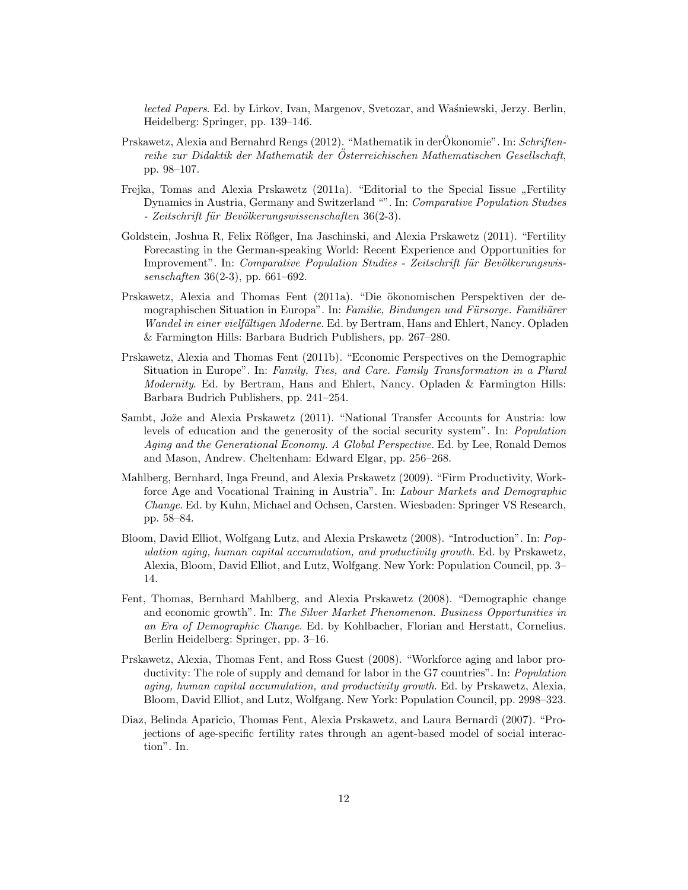lected Papers. Ed. by Lirkov, Ivan, Margenov, Svetozar, and Waśniewski, Jerzy. Berlin, Heidelberg: Springer, pp. 139–146.

- Prskawetz, Alexia and Bernahrd Rengs (2012). "Mathematik in derÖkonomie". In: Schriftenreihe zur Didaktik der Mathematik der Osterreichischen Mathematischen Gesellschaft, pp. 98–107.
- Frejka, Tomas and Alexia Prskawetz (2011a). "Editorial to the Special Iissue "Fertility<br>Democratic Company on Critical and W. In Company Condition Chalica Dynamics in Austria, Germany and Switzerland "". In: Comparative Population Studies - Zeitschrift für Bevölkerungswissenschaften 36(2-3).
- Goldstein, Joshua R, Felix Rößger, Ina Jaschinski, and Alexia Prskawetz (2011). "Fertility Forecasting in the German-speaking World: Recent Experience and Opportunities for Improvement". In: *Comparative Population Studies - Zeitschrift für Bevölkerungswis*senschaften 36(2-3), pp. 661–692.
- Prskawetz, Alexia and Thomas Fent (2011a). "Die ökonomischen Perspektiven der demographischen Situation in Europa". In: Familie, Bindungen und Fürsorge. Familiärer Wandel in einer vielfältigen Moderne. Ed. by Bertram, Hans and Ehlert, Nancy. Opladen & Farmington Hills: Barbara Budrich Publishers, pp. 267–280.
- Prskawetz, Alexia and Thomas Fent (2011b). "Economic Perspectives on the Demographic Situation in Europe". In: Family, Ties, and Care. Family Transformation in a Plural Modernity. Ed. by Bertram, Hans and Ehlert, Nancy. Opladen & Farmington Hills: Barbara Budrich Publishers, pp. 241–254.
- Sambt, Jože and Alexia Prskawetz (2011). "National Transfer Accounts for Austria: low levels of education and the generosity of the social security system". In: Population Aging and the Generational Economy. A Global Perspective. Ed. by Lee, Ronald Demos and Mason, Andrew. Cheltenham: Edward Elgar, pp. 256–268.
- Mahlberg, Bernhard, Inga Freund, and Alexia Prskawetz (2009). "Firm Productivity, Workforce Age and Vocational Training in Austria". In: Labour Markets and Demographic Change. Ed. by Kuhn, Michael and Ochsen, Carsten. Wiesbaden: Springer VS Research, pp. 58–84.
- Bloom, David Elliot, Wolfgang Lutz, and Alexia Prskawetz (2008). "Introduction". In: Population aging, human capital accumulation, and productivity growth. Ed. by Prskawetz, Alexia, Bloom, David Elliot, and Lutz, Wolfgang. New York: Population Council, pp. 3– 14.
- Fent, Thomas, Bernhard Mahlberg, and Alexia Prskawetz (2008). "Demographic change and economic growth". In: The Silver Market Phenomenon. Business Opportunities in an Era of Demographic Change. Ed. by Kohlbacher, Florian and Herstatt, Cornelius. Berlin Heidelberg: Springer, pp. 3–16.
- Prskawetz, Alexia, Thomas Fent, and Ross Guest (2008). "Workforce aging and labor productivity: The role of supply and demand for labor in the G7 countries". In: Population aging, human capital accumulation, and productivity growth. Ed. by Prskawetz, Alexia, Bloom, David Elliot, and Lutz, Wolfgang. New York: Population Council, pp. 2998–323.
- Diaz, Belinda Aparicio, Thomas Fent, Alexia Prskawetz, and Laura Bernardi (2007). "Projections of age-specific fertility rates through an agent-based model of social interaction". In.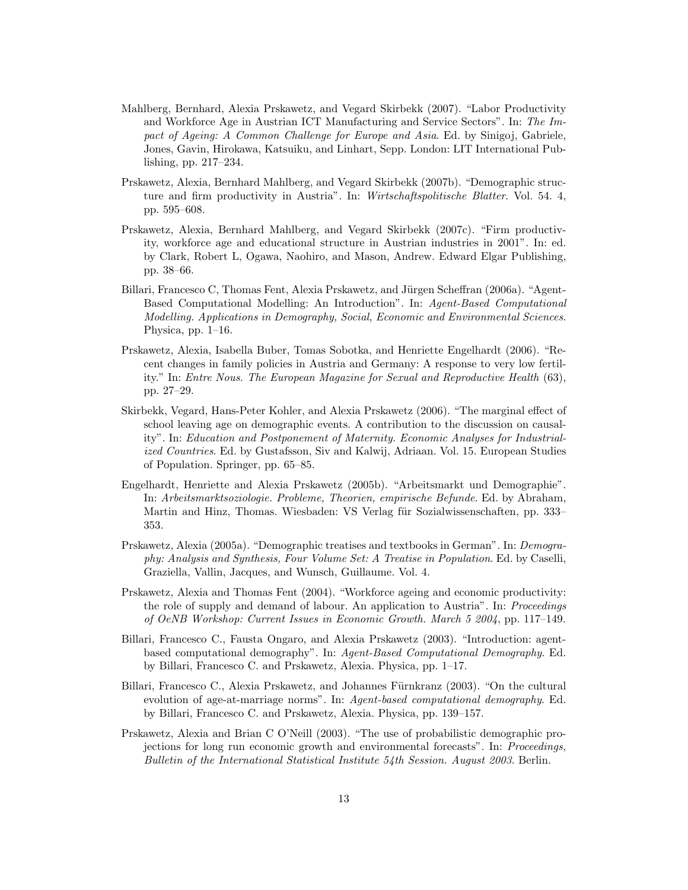- Mahlberg, Bernhard, Alexia Prskawetz, and Vegard Skirbekk (2007). "Labor Productivity and Workforce Age in Austrian ICT Manufacturing and Service Sectors". In: The Impact of Ageing: A Common Challenge for Europe and Asia. Ed. by Sinigoj, Gabriele, Jones, Gavin, Hirokawa, Katsuiku, and Linhart, Sepp. London: LIT International Publishing, pp. 217–234.
- Prskawetz, Alexia, Bernhard Mahlberg, and Vegard Skirbekk (2007b). "Demographic structure and firm productivity in Austria". In: Wirtschaftspolitische Blatter. Vol. 54. 4, pp. 595–608.
- Prskawetz, Alexia, Bernhard Mahlberg, and Vegard Skirbekk (2007c). "Firm productivity, workforce age and educational structure in Austrian industries in 2001". In: ed. by Clark, Robert L, Ogawa, Naohiro, and Mason, Andrew. Edward Elgar Publishing, pp. 38–66.
- Billari, Francesco C, Thomas Fent, Alexia Prskawetz, and Jürgen Scheffran (2006a). "Agent-Based Computational Modelling: An Introduction". In: Agent-Based Computational Modelling. Applications in Demography, Social, Economic and Environmental Sciences. Physica, pp.  $1-16$ .
- Prskawetz, Alexia, Isabella Buber, Tomas Sobotka, and Henriette Engelhardt (2006). "Recent changes in family policies in Austria and Germany: A response to very low fertility." In: Entre Nous. The European Magazine for Sexual and Reproductive Health (63), pp. 27–29.
- Skirbekk, Vegard, Hans-Peter Kohler, and Alexia Prskawetz (2006). "The marginal effect of school leaving age on demographic events. A contribution to the discussion on causality". In: Education and Postponement of Maternity. Economic Analyses for Industrialized Countries. Ed. by Gustafsson, Siv and Kalwij, Adriaan. Vol. 15. European Studies of Population. Springer, pp. 65–85.
- Engelhardt, Henriette and Alexia Prskawetz (2005b). "Arbeitsmarkt und Demographie". In: Arbeitsmarktsoziologie. Probleme, Theorien, empirische Befunde. Ed. by Abraham, Martin and Hinz, Thomas. Wiesbaden: VS Verlag für Sozialwissenschaften, pp. 333– 353.
- Prskawetz, Alexia (2005a). "Demographic treatises and textbooks in German". In: Demography: Analysis and Synthesis, Four Volume Set: A Treatise in Population. Ed. by Caselli, Graziella, Vallin, Jacques, and Wunsch, Guillaume. Vol. 4.
- Prskawetz, Alexia and Thomas Fent (2004). "Workforce ageing and economic productivity: the role of supply and demand of labour. An application to Austria". In: Proceedings of OeNB Workshop: Current Issues in Economic Growth. March 5 2004, pp. 117–149.
- Billari, Francesco C., Fausta Ongaro, and Alexia Prskawetz (2003). "Introduction: agentbased computational demography". In: Agent-Based Computational Demography. Ed. by Billari, Francesco C. and Prskawetz, Alexia. Physica, pp. 1–17.
- Billari, Francesco C., Alexia Prskawetz, and Johannes Fürnkranz (2003). "On the cultural evolution of age-at-marriage norms". In: Agent-based computational demography. Ed. by Billari, Francesco C. and Prskawetz, Alexia. Physica, pp. 139–157.
- Prskawetz, Alexia and Brian C O'Neill (2003). "The use of probabilistic demographic projections for long run economic growth and environmental forecasts". In: Proceedings, Bulletin of the International Statistical Institute 54th Session. August 2003. Berlin.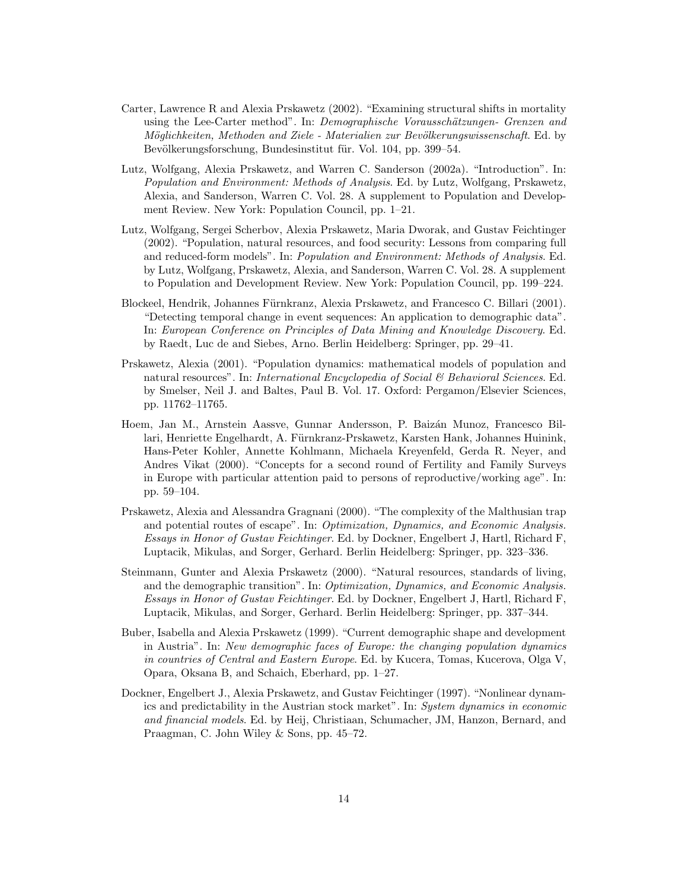- Carter, Lawrence R and Alexia Prskawetz (2002). "Examining structural shifts in mortality using the Lee-Carter method". In: Demographische Vorausschätzungen- Grenzen and Möglichkeiten, Methoden and Ziele - Materialien zur Bevölkerungswissenschaft. Ed. by Bevölkerungsforschung, Bundesinstitut für. Vol. 104, pp. 399–54.
- Lutz, Wolfgang, Alexia Prskawetz, and Warren C. Sanderson (2002a). "Introduction". In: Population and Environment: Methods of Analysis. Ed. by Lutz, Wolfgang, Prskawetz, Alexia, and Sanderson, Warren C. Vol. 28. A supplement to Population and Development Review. New York: Population Council, pp. 1–21.
- Lutz, Wolfgang, Sergei Scherbov, Alexia Prskawetz, Maria Dworak, and Gustav Feichtinger (2002). "Population, natural resources, and food security: Lessons from comparing full and reduced-form models". In: Population and Environment: Methods of Analysis. Ed. by Lutz, Wolfgang, Prskawetz, Alexia, and Sanderson, Warren C. Vol. 28. A supplement to Population and Development Review. New York: Population Council, pp. 199–224.
- Blockeel, Hendrik, Johannes Fürnkranz, Alexia Prskawetz, and Francesco C. Billari (2001). "Detecting temporal change in event sequences: An application to demographic data". In: European Conference on Principles of Data Mining and Knowledge Discovery. Ed. by Raedt, Luc de and Siebes, Arno. Berlin Heidelberg: Springer, pp. 29–41.
- Prskawetz, Alexia (2001). "Population dynamics: mathematical models of population and natural resources". In: *International Encyclopedia of Social*  $\&$  *Behavioral Sciences*. Ed. by Smelser, Neil J. and Baltes, Paul B. Vol. 17. Oxford: Pergamon/Elsevier Sciences, pp. 11762–11765.
- Hoem, Jan M., Arnstein Aassve, Gunnar Andersson, P. Baizán Munoz, Francesco Billari, Henriette Engelhardt, A. Fürnkranz-Prskawetz, Karsten Hank, Johannes Huinink, Hans-Peter Kohler, Annette Kohlmann, Michaela Kreyenfeld, Gerda R. Neyer, and Andres Vikat (2000). "Concepts for a second round of Fertility and Family Surveys in Europe with particular attention paid to persons of reproductive/working age". In: pp. 59–104.
- Prskawetz, Alexia and Alessandra Gragnani (2000). "The complexity of the Malthusian trap and potential routes of escape". In: Optimization, Dynamics, and Economic Analysis. Essays in Honor of Gustav Feichtinger. Ed. by Dockner, Engelbert J, Hartl, Richard F, Luptacik, Mikulas, and Sorger, Gerhard. Berlin Heidelberg: Springer, pp. 323–336.
- Steinmann, Gunter and Alexia Prskawetz (2000). "Natural resources, standards of living, and the demographic transition". In: Optimization, Dynamics, and Economic Analysis. Essays in Honor of Gustav Feichtinger. Ed. by Dockner, Engelbert J, Hartl, Richard F, Luptacik, Mikulas, and Sorger, Gerhard. Berlin Heidelberg: Springer, pp. 337–344.
- Buber, Isabella and Alexia Prskawetz (1999). "Current demographic shape and development in Austria". In: New demographic faces of Europe: the changing population dynamics in countries of Central and Eastern Europe. Ed. by Kucera, Tomas, Kucerova, Olga V, Opara, Oksana B, and Schaich, Eberhard, pp. 1–27.
- Dockner, Engelbert J., Alexia Prskawetz, and Gustav Feichtinger (1997). "Nonlinear dynamics and predictability in the Austrian stock market". In: System dynamics in economic and financial models. Ed. by Heij, Christiaan, Schumacher, JM, Hanzon, Bernard, and Praagman, C. John Wiley & Sons, pp. 45–72.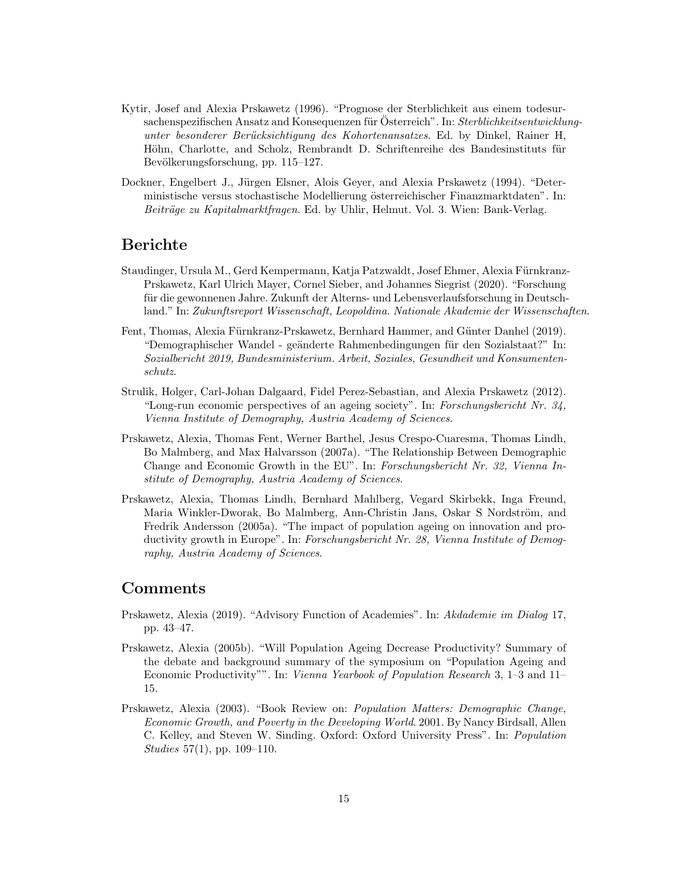- Kytir, Josef and Alexia Prskawetz (1996). "Prognose der Sterblichkeit aus einem todesursachenspezifischen Ansatz and Konsequenzen für Österreich". In: Sterblichkeitsentwicklungunter besonderer Berücksichtigung des Kohortenansatzes. Ed. by Dinkel, Rainer H, Höhn, Charlotte, and Scholz, Rembrandt D. Schriftenreihe des Bandesinstituts für Bevölkerungsforschung, pp. 115–127.
- Dockner, Engelbert J., Jürgen Elsner, Alois Geyer, and Alexia Prskawetz (1994). "Deterministische versus stochastische Modellierung österreichischer Finanzmarktdaten". In: Beiträge zu Kapitalmarktfragen. Ed. by Uhlir, Helmut. Vol. 3. Wien: Bank-Verlag.

#### Berichte

- Staudinger, Ursula M., Gerd Kempermann, Katja Patzwaldt, Josef Ehmer, Alexia Fürnkranz-Prskawetz, Karl Ulrich Mayer, Cornel Sieber, and Johannes Siegrist (2020). "Forschung für die gewonnenen Jahre. Zukunft der Alterns- und Lebensverlaufsforschung in Deutschland." In: Zukunftsreport Wissenschaft, Leopoldina. Nationale Akademie der Wissenschaften.
- Fent, Thomas, Alexia Fürnkranz-Prskawetz, Bernhard Hammer, and Günter Danhel (2019). "Demographischer Wandel - geänderte Rahmenbedingungen für den Sozialstaat?" In: Sozialbericht 2019, Bundesministerium. Arbeit, Soziales, Gesundheit und Konsumentenschutz.
- Strulik, Holger, Carl-Johan Dalgaard, Fidel Perez-Sebastian, and Alexia Prskawetz (2012). "Long-run economic perspectives of an ageing society". In: Forschungsbericht Nr. 34, Vienna Institute of Demography, Austria Academy of Sciences.
- Prskawetz, Alexia, Thomas Fent, Werner Barthel, Jesus Crespo-Cuaresma, Thomas Lindh, Bo Malmberg, and Max Halvarsson (2007a). "The Relationship Between Demographic Change and Economic Growth in the EU". In: Forschungsbericht Nr. 32, Vienna Institute of Demography, Austria Academy of Sciences.
- Prskawetz, Alexia, Thomas Lindh, Bernhard Mahlberg, Vegard Skirbekk, Inga Freund, Maria Winkler-Dworak, Bo Malmberg, Ann-Christin Jans, Oskar S Nordström, and Fredrik Andersson (2005a). "The impact of population ageing on innovation and productivity growth in Europe". In: Forschungsbericht Nr. 28, Vienna Institute of Demography, Austria Academy of Sciences.

## Comments

- Prskawetz, Alexia (2019). "Advisory Function of Academies". In: Akdademie im Dialog 17, pp. 43–47.
- Prskawetz, Alexia (2005b). "Will Population Ageing Decrease Productivity? Summary of the debate and background summary of the symposium on "Population Ageing and Economic Productivity"". In: Vienna Yearbook of Population Research 3, 1–3 and 11– 15.
- Prskawetz, Alexia (2003). "Book Review on: Population Matters: Demographic Change, Economic Growth, and Poverty in the Developing World. 2001. By Nancy Birdsall, Allen C. Kelley, and Steven W. Sinding. Oxford: Oxford University Press". In: Population Studies 57(1), pp. 109–110.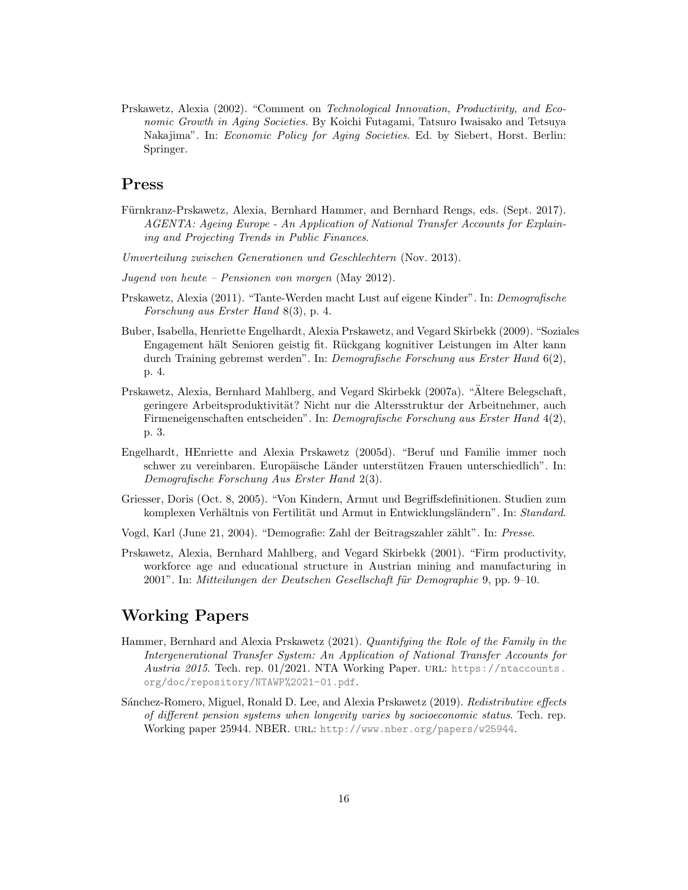Prskawetz, Alexia (2002). "Comment on Technological Innovation, Productivity, and Economic Growth in Aging Societies. By Koichi Futagami, Tatsuro Iwaisako and Tetsuya Nakajima". In: Economic Policy for Aging Societies. Ed. by Siebert, Horst. Berlin: Springer.

## Press

- Fürnkranz-Prskawetz, Alexia, Bernhard Hammer, and Bernhard Rengs, eds. (Sept. 2017). AGENTA: Ageing Europe - An Application of National Transfer Accounts for Explaining and Projecting Trends in Public Finances.
- Umverteilung zwischen Generationen und Geschlechtern (Nov. 2013).
- Jugend von heute Pensionen von morgen (May 2012).
- Prskawetz, Alexia (2011). "Tante-Werden macht Lust auf eigene Kinder". In: Demografische Forschung aus Erster Hand 8(3), p. 4.
- Buber, Isabella, Henriette Engelhardt, Alexia Prskawetz, and Vegard Skirbekk (2009). "Soziales Engagement hält Senioren geistig fit. Rückgang kognitiver Leistungen im Alter kann durch Training gebremst werden". In: Demografische Forschung aus Erster Hand 6(2), p. 4.
- Prskawetz, Alexia, Bernhard Mahlberg, and Vegard Skirbekk (2007a). "Altere Belegschaft, ¨ geringere Arbeitsproduktivität? Nicht nur die Altersstruktur der Arbeitnehmer, auch Firmeneigenschaften entscheiden". In: Demografische Forschung aus Erster Hand 4(2), p. 3.
- Engelhardt, HEnriette and Alexia Prskawetz (2005d). "Beruf und Familie immer noch schwer zu vereinbaren. Europäische Länder unterstützen Frauen unterschiedlich". In: Demografische Forschung Aus Erster Hand 2(3).
- Griesser, Doris (Oct. 8, 2005). "Von Kindern, Armut und Begriffsdefinitionen. Studien zum komplexen Verhältnis von Fertilität und Armut in Entwicklungsländern". In: Standard.
- Vogd, Karl (June 21, 2004). "Demografie: Zahl der Beitragszahler zählt". In: Presse.
- Prskawetz, Alexia, Bernhard Mahlberg, and Vegard Skirbekk (2001). "Firm productivity, workforce age and educational structure in Austrian mining and manufacturing in 2001". In: Mitteilungen der Deutschen Gesellschaft für Demographie 9, pp. 9–10.

## Working Papers

- Hammer, Bernhard and Alexia Prskawetz (2021). Quantifying the Role of the Family in the Intergenerational Transfer System: An Application of National Transfer Accounts for Austria 2015. Tech. rep. 01/2021. NTA Working Paper. URL: [https://ntaccounts.](https://ntaccounts.org/doc/repository/NTAWP%2021-01.pdf) [org/doc/repository/NTAWP%2021-01.pdf](https://ntaccounts.org/doc/repository/NTAWP%2021-01.pdf).
- Sánchez-Romero, Miguel, Ronald D. Lee, and Alexia Prskawetz (2019). Redistributive effects of different pension systems when longevity varies by socioeconomic status. Tech. rep. Working paper 25944. NBER. URL: <http://www.nber.org/papers/w25944>.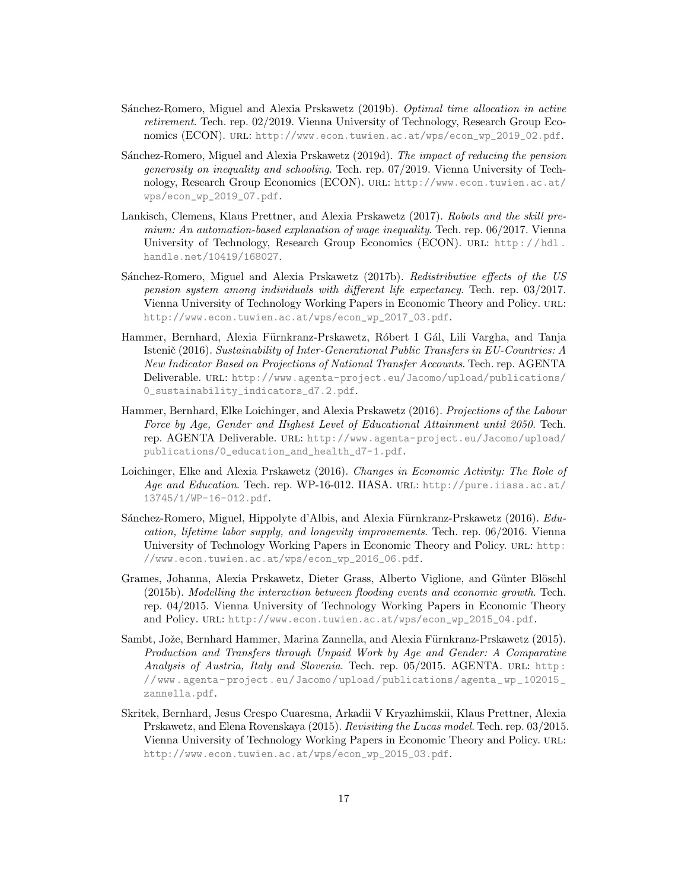- Sánchez-Romero, Miguel and Alexia Prskawetz (2019b). Optimal time allocation in active retirement. Tech. rep. 02/2019. Vienna University of Technology, Research Group Economics (ECON). url: [http://www.econ.tuwien.ac.at/wps/econ\\_wp\\_2019\\_02.pdf](http://www.econ.tuwien.ac.at/wps/econ_wp_2019_02.pdf).
- Sánchez-Romero, Miguel and Alexia Prskawetz (2019d). The *impact of reducing the pension* generosity on inequality and schooling. Tech. rep. 07/2019. Vienna University of Technology, Research Group Economics (ECON). url: [http://www.econ.tuwien.ac.at/](http://www.econ.tuwien.ac.at/wps/econ_wp_2019_07.pdf) [wps/econ\\_wp\\_2019\\_07.pdf](http://www.econ.tuwien.ac.at/wps/econ_wp_2019_07.pdf).
- Lankisch, Clemens, Klaus Prettner, and Alexia Prskawetz (2017). Robots and the skill premium: An automation-based explanation of wage inequality. Tech. rep. 06/2017. Vienna University of Technology, Research Group Economics (ECON). URL: http://hdl. [handle.net/10419/168027](http://hdl.handle.net/10419/168027).
- Sánchez-Romero, Miguel and Alexia Prskawetz (2017b). Redistributive effects of the US pension system among individuals with different life expectancy. Tech. rep. 03/2017. Vienna University of Technology Working Papers in Economic Theory and Policy. url: [http://www.econ.tuwien.ac.at/wps/econ\\_wp\\_2017\\_03.pdf](http://www.econ.tuwien.ac.at/wps/econ_wp_2017_03.pdf).
- Hammer, Bernhard, Alexia Fürnkranz-Prskawetz, Róbert I Gál, Lili Vargha, and Tanja Istenič (2016). Sustainability of Inter-Generational Public Transfers in EU-Countries: A New Indicator Based on Projections of National Transfer Accounts. Tech. rep. AGENTA Deliverable. url: [http://www.agenta-project.eu/Jacomo/upload/publications/](http://www.agenta-project.eu/Jacomo/upload/publications/0_sustainability_indicators_d7.2.pdf) [0\\_sustainability\\_indicators\\_d7.2.pdf](http://www.agenta-project.eu/Jacomo/upload/publications/0_sustainability_indicators_d7.2.pdf).
- Hammer, Bernhard, Elke Loichinger, and Alexia Prskawetz (2016). Projections of the Labour Force by Age, Gender and Highest Level of Educational Attainment until 2050. Tech. rep. AGENTA Deliverable. url: [http://www.agenta-project.eu/Jacomo/upload/](http://www.agenta-project.eu/Jacomo/upload/publications/0_education_and_health_d7-1.pdf) [publications/0\\_education\\_and\\_health\\_d7-1.pdf](http://www.agenta-project.eu/Jacomo/upload/publications/0_education_and_health_d7-1.pdf).
- Loichinger, Elke and Alexia Prskawetz (2016). Changes in Economic Activity: The Role of Age and Education. Tech. rep. WP-16-012. IIASA. URL: [http://pure.iiasa.ac.at/](http://pure.iiasa.ac.at/13745/1/WP-16-012.pdf) [13745/1/WP-16-012.pdf](http://pure.iiasa.ac.at/13745/1/WP-16-012.pdf).
- Sánchez-Romero, Miguel, Hippolyte d'Albis, and Alexia Fürnkranz-Prskawetz (2016). Education, lifetime labor supply, and longevity improvements. Tech. rep. 06/2016. Vienna University of Technology Working Papers in Economic Theory and Policy. URL: [http:](http://www.econ.tuwien.ac.at/wps/econ_wp_2016_06.pdf) [//www.econ.tuwien.ac.at/wps/econ\\_wp\\_2016\\_06.pdf](http://www.econ.tuwien.ac.at/wps/econ_wp_2016_06.pdf).
- Grames, Johanna, Alexia Prskawetz, Dieter Grass, Alberto Viglione, and Günter Blöschl (2015b). Modelling the interaction between flooding events and economic growth. Tech. rep. 04/2015. Vienna University of Technology Working Papers in Economic Theory and Policy. URL: [http://www.econ.tuwien.ac.at/wps/econ\\_wp\\_2015\\_04.pdf](http://www.econ.tuwien.ac.at/wps/econ_wp_2015_04.pdf).
- Sambt, Jože, Bernhard Hammer, Marina Zannella, and Alexia Fürnkranz-Prskawetz (2015). Production and Transfers through Unpaid Work by Age and Gender: A Comparative Analysis of Austria, Italy and Slovenia. Tech. rep. 05/2015. AGENTA. URL: http: [//www.agenta- project.eu/Jacomo/upload/publications/agenta\\_wp\\_102015\\_](http://www.agenta-project.eu/Jacomo/upload/publications/agenta_wp_102015_zannella.pdf) [zannella.pdf](http://www.agenta-project.eu/Jacomo/upload/publications/agenta_wp_102015_zannella.pdf).
- Skritek, Bernhard, Jesus Crespo Cuaresma, Arkadii V Kryazhimskii, Klaus Prettner, Alexia Prskawetz, and Elena Rovenskaya (2015). Revisiting the Lucas model. Tech. rep. 03/2015. Vienna University of Technology Working Papers in Economic Theory and Policy. url: [http://www.econ.tuwien.ac.at/wps/econ\\_wp\\_2015\\_03.pdf](http://www.econ.tuwien.ac.at/wps/econ_wp_2015_03.pdf).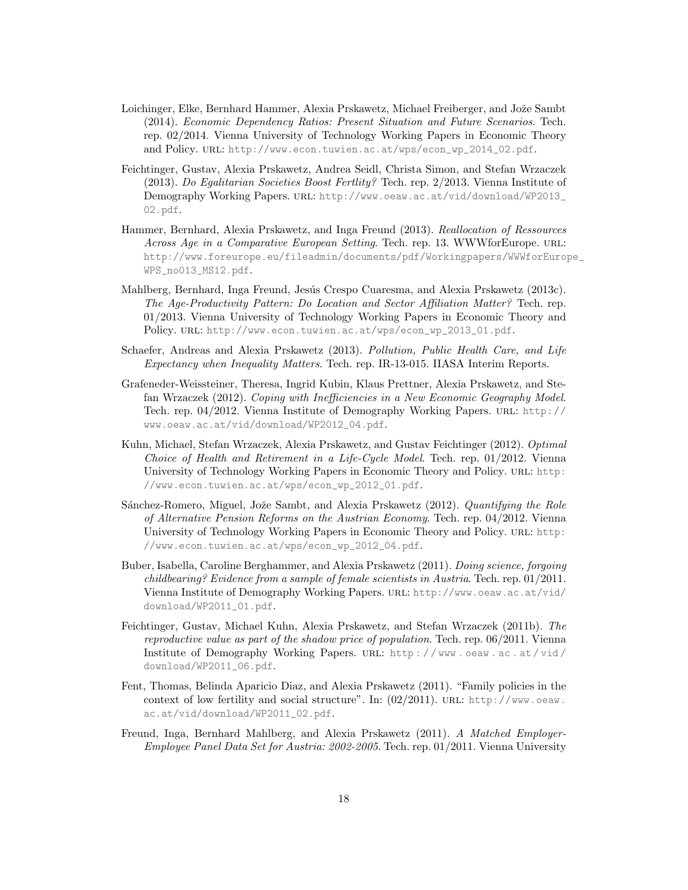- Loichinger, Elke, Bernhard Hammer, Alexia Prskawetz, Michael Freiberger, and Jože Sambt (2014). Economic Dependency Ratios: Present Situation and Future Scenarios. Tech. rep. 02/2014. Vienna University of Technology Working Papers in Economic Theory and Policy. url: [http://www.econ.tuwien.ac.at/wps/econ\\_wp\\_2014\\_02.pdf](http://www.econ.tuwien.ac.at/wps/econ_wp_2014_02.pdf).
- Feichtinger, Gustav, Alexia Prskawetz, Andrea Seidl, Christa Simon, and Stefan Wrzaczek (2013). Do Egalitarian Societies Boost Fertlity? Tech. rep. 2/2013. Vienna Institute of Demography Working Papers. URL: [http://www.oeaw.ac.at/vid/download/WP2013\\_](http://www.oeaw.ac.at/vid/download/WP2013_02.pdf) [02.pdf](http://www.oeaw.ac.at/vid/download/WP2013_02.pdf).
- Hammer, Bernhard, Alexia Prskawetz, and Inga Freund (2013). Reallocation of Ressources Across Age in a Comparative European Setting. Tech. rep. 13. WWWforEurope. URL: [http://www.foreurope.eu/fileadmin/documents/pdf/Workingpapers/WWWforEurop](http://www.foreurope.eu/fileadmin/documents/pdf/Workingpapers/WWWforEurope_WPS_no013_MS12.pdf)e\_ [WPS\\_no013\\_MS12.pdf](http://www.foreurope.eu/fileadmin/documents/pdf/Workingpapers/WWWforEurope_WPS_no013_MS12.pdf).
- Mahlberg, Bernhard, Inga Freund, Jesús Crespo Cuaresma, and Alexia Prskawetz (2013c). The Age-Productivity Pattern: Do Location and Sector Affiliation Matter? Tech. rep. 01/2013. Vienna University of Technology Working Papers in Economic Theory and Policy. URL: [http://www.econ.tuwien.ac.at/wps/econ\\_wp\\_2013\\_01.pdf](http://www.econ.tuwien.ac.at/wps/econ_wp_2013_01.pdf).
- Schaefer, Andreas and Alexia Prskawetz (2013). Pollution, Public Health Care, and Life Expectancy when Inequality Matters. Tech. rep. IR-13-015. IIASA Interim Reports.
- Grafeneder-Weissteiner, Theresa, Ingrid Kubin, Klaus Prettner, Alexia Prskawetz, and Stefan Wrzaczek (2012). Coping with Inefficiencies in a New Economic Geography Model. Tech. rep. 04/2012. Vienna Institute of Demography Working Papers. url: [http://](http://www.oeaw.ac.at/vid/download/WP2012_04.pdf) [www.oeaw.ac.at/vid/download/WP2012\\_04.pdf](http://www.oeaw.ac.at/vid/download/WP2012_04.pdf).
- Kuhn, Michael, Stefan Wrzaczek, Alexia Prskawetz, and Gustav Feichtinger (2012). Optimal Choice of Health and Retirement in a Life-Cycle Model. Tech. rep. 01/2012. Vienna University of Technology Working Papers in Economic Theory and Policy. url: [http:](http://www.econ.tuwien.ac.at/wps/econ_wp_2012_01.pdf) [//www.econ.tuwien.ac.at/wps/econ\\_wp\\_2012\\_01.pdf](http://www.econ.tuwien.ac.at/wps/econ_wp_2012_01.pdf).
- Sánchez-Romero, Miguel, Jože Sambt, and Alexia Prskawetz (2012). Quantifying the Role of Alternative Pension Reforms on the Austrian Economy. Tech. rep. 04/2012. Vienna University of Technology Working Papers in Economic Theory and Policy. url: [http:](http://www.econ.tuwien.ac.at/wps/econ_wp_2012_04.pdf) [//www.econ.tuwien.ac.at/wps/econ\\_wp\\_2012\\_04.pdf](http://www.econ.tuwien.ac.at/wps/econ_wp_2012_04.pdf).
- Buber, Isabella, Caroline Berghammer, and Alexia Prskawetz (2011). Doing science, forgoing childbearing? Evidence from a sample of female scientists in Austria. Tech. rep. 01/2011. Vienna Institute of Demography Working Papers. URL: [http://www.oeaw.ac.at/vid/](http://www.oeaw.ac.at/vid/download/WP2011_01.pdf) [download/WP2011\\_01.pdf](http://www.oeaw.ac.at/vid/download/WP2011_01.pdf).
- Feichtinger, Gustav, Michael Kuhn, Alexia Prskawetz, and Stefan Wrzaczek (2011b). The reproductive value as part of the shadow price of population. Tech. rep. 06/2011. Vienna Institute of Demography Working Papers. url: [http : / / www . oeaw . ac . at / vid /](http://www.oeaw.ac.at/vid/download/WP2011_06.pdf) [download/WP2011\\_06.pdf](http://www.oeaw.ac.at/vid/download/WP2011_06.pdf).
- Fent, Thomas, Belinda Aparicio Diaz, and Alexia Prskawetz (2011). "Family policies in the context of low fertility and social structure". In:  $(02/2011)$ . URL: [http://www.oeaw.](http://www.oeaw.ac.at/vid/download/WP2011_02.pdf) [ac.at/vid/download/WP2011\\_02.pdf](http://www.oeaw.ac.at/vid/download/WP2011_02.pdf).
- Freund, Inga, Bernhard Mahlberg, and Alexia Prskawetz (2011). A Matched Employer-Employee Panel Data Set for Austria: 2002-2005. Tech. rep. 01/2011. Vienna University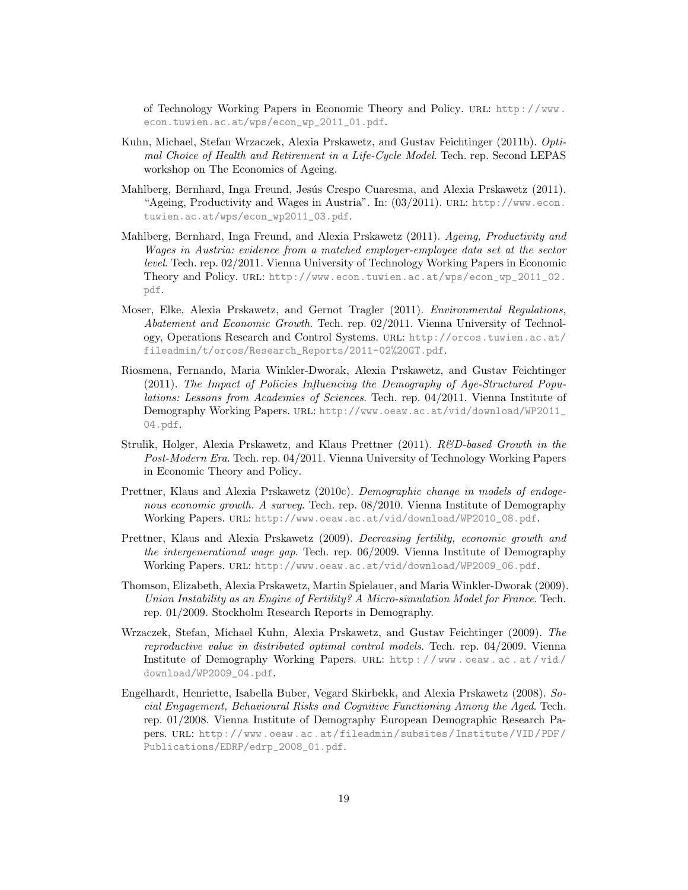of Technology Working Papers in Economic Theory and Policy. url: [http://www.](http://www.econ.tuwien.ac.at/wps/econ_wp_2011_01.pdf) [econ.tuwien.ac.at/wps/econ\\_wp\\_2011\\_01.pdf](http://www.econ.tuwien.ac.at/wps/econ_wp_2011_01.pdf).

- Kuhn, Michael, Stefan Wrzaczek, Alexia Prskawetz, and Gustav Feichtinger (2011b). Optimal Choice of Health and Retirement in a Life-Cycle Model. Tech. rep. Second LEPAS workshop on The Economics of Ageing.
- Mahlberg, Bernhard, Inga Freund, Jesús Crespo Cuaresma, and Alexia Prskawetz (2011). "Ageing, Productivity and Wages in Austria". In: (03/2011). URL: [http://www.econ.](http://www.econ.tuwien.ac.at/wps/econ_wp2011_03.pdf) [tuwien.ac.at/wps/econ\\_wp2011\\_03.pdf](http://www.econ.tuwien.ac.at/wps/econ_wp2011_03.pdf).
- Mahlberg, Bernhard, Inga Freund, and Alexia Prskawetz (2011). Ageing, Productivity and Wages in Austria: evidence from a matched employer-employee data set at the sector level. Tech. rep. 02/2011. Vienna University of Technology Working Papers in Economic Theory and Policy. url: [http://www.econ.tuwien.ac.at/wps/econ\\_wp\\_2011\\_02.](http://www.econ.tuwien.ac.at/wps/econ_wp_2011_02.pdf) [pdf](http://www.econ.tuwien.ac.at/wps/econ_wp_2011_02.pdf).
- Moser, Elke, Alexia Prskawetz, and Gernot Tragler (2011). Environmental Regulations, Abatement and Economic Growth. Tech. rep. 02/2011. Vienna University of Technology, Operations Research and Control Systems. url: [http://orcos.tuwien.ac.at/](http://orcos.tuwien.ac.at/fileadmin/t/orcos/Research_Reports/2011-02%20GT.pdf) [fileadmin/t/orcos/Research\\_Reports/2011-02%20GT.pdf](http://orcos.tuwien.ac.at/fileadmin/t/orcos/Research_Reports/2011-02%20GT.pdf).
- Riosmena, Fernando, Maria Winkler-Dworak, Alexia Prskawetz, and Gustav Feichtinger (2011). The Impact of Policies Influencing the Demography of Age-Structured Populations: Lessons from Academies of Sciences. Tech. rep. 04/2011. Vienna Institute of Demography Working Papers. url: [http://www.oeaw.ac.at/vid/download/WP2011\\_](http://www.oeaw.ac.at/vid/download/WP2011_04.pdf) [04.pdf](http://www.oeaw.ac.at/vid/download/WP2011_04.pdf).
- Strulik, Holger, Alexia Prskawetz, and Klaus Prettner (2011). R&D-based Growth in the Post-Modern Era. Tech. rep. 04/2011. Vienna University of Technology Working Papers in Economic Theory and Policy.
- Prettner, Klaus and Alexia Prskawetz (2010c). Demographic change in models of endogenous economic growth. A survey. Tech. rep.  $08/2010$ . Vienna Institute of Demography Working Papers. url: [http://www.oeaw.ac.at/vid/download/WP2010\\_08.pdf](http://www.oeaw.ac.at/vid/download/WP2010_08.pdf).
- Prettner, Klaus and Alexia Prskawetz (2009). Decreasing fertility, economic growth and the intergenerational wage gap. Tech. rep. 06/2009. Vienna Institute of Demography Working Papers. URL: [http://www.oeaw.ac.at/vid/download/WP2009\\_06.pdf](http://www.oeaw.ac.at/vid/download/WP2009_06.pdf).
- Thomson, Elizabeth, Alexia Prskawetz, Martin Spielauer, and Maria Winkler-Dworak (2009). Union Instability as an Engine of Fertility? A Micro-simulation Model for France. Tech. rep. 01/2009. Stockholm Research Reports in Demography.
- Wrzaczek, Stefan, Michael Kuhn, Alexia Prskawetz, and Gustav Feichtinger (2009). The reproductive value in distributed optimal control models. Tech. rep. 04/2009. Vienna Institute of Demography Working Papers. url: [http : / / www . oeaw . ac . at / vid /](http://www.oeaw.ac.at/vid/download/WP2009_04.pdf) [download/WP2009\\_04.pdf](http://www.oeaw.ac.at/vid/download/WP2009_04.pdf).
- Engelhardt, Henriette, Isabella Buber, Vegard Skirbekk, and Alexia Prskawetz (2008). Social Engagement, Behavioural Risks and Cognitive Functioning Among the Aged. Tech. rep. 01/2008. Vienna Institute of Demography European Demographic Research Papers. url: [http://www.oeaw.ac.at/fileadmin/subsites/Institute/VID/PDF/](http://www.oeaw.ac.at/fileadmin/subsites/Institute/VID/PDF/Publications/EDRP/edrp_2008_01.pdf) [Publications/EDRP/edrp\\_2008\\_01.pdf](http://www.oeaw.ac.at/fileadmin/subsites/Institute/VID/PDF/Publications/EDRP/edrp_2008_01.pdf).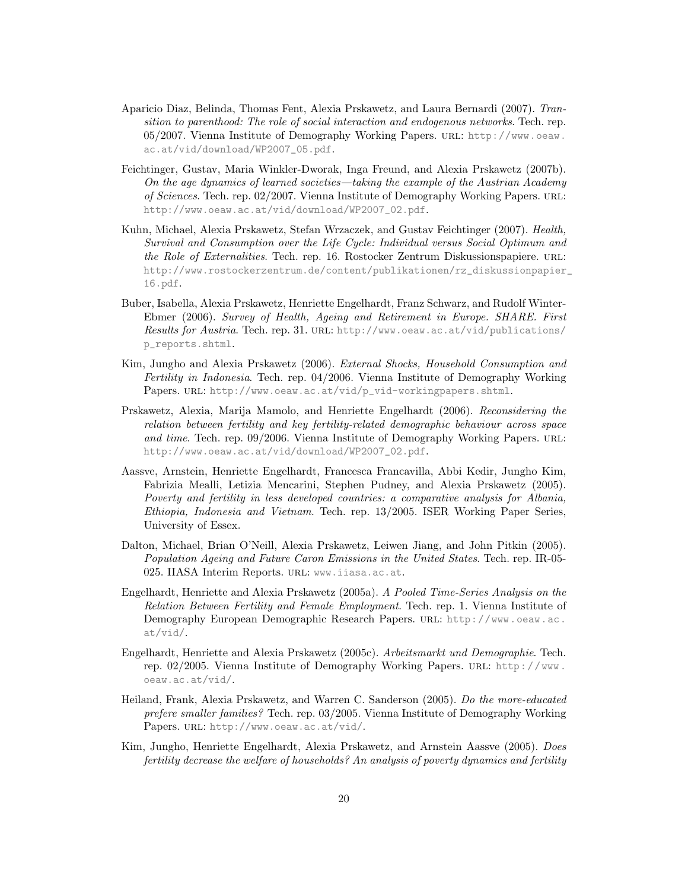- Aparicio Diaz, Belinda, Thomas Fent, Alexia Prskawetz, and Laura Bernardi (2007). Transition to parenthood: The role of social interaction and endogenous networks. Tech. rep. 05/2007. Vienna Institute of Demography Working Papers. url: [http://www.oeaw.](http://www.oeaw.ac.at/vid/download/WP2007_05.pdf) [ac.at/vid/download/WP2007\\_05.pdf](http://www.oeaw.ac.at/vid/download/WP2007_05.pdf).
- Feichtinger, Gustav, Maria Winkler-Dworak, Inga Freund, and Alexia Prskawetz (2007b). On the age dynamics of learned societies—taking the example of the Austrian Academy of Sciences. Tech. rep. 02/2007. Vienna Institute of Demography Working Papers. url: [http://www.oeaw.ac.at/vid/download/WP2007\\_02.pdf](http://www.oeaw.ac.at/vid/download/WP2007_02.pdf).
- Kuhn, Michael, Alexia Prskawetz, Stefan Wrzaczek, and Gustav Feichtinger (2007). Health, Survival and Consumption over the Life Cycle: Individual versus Social Optimum and the Role of Externalities. Tech. rep. 16. Rostocker Zentrum Diskussionspapiere. URL: [http://www.rostockerzentrum.de/content/publikationen/rz\\_diskussionpapier\\_](http://www.rostockerzentrum.de/content/publikationen/rz_diskussionpapier_16.pdf) [16.pdf](http://www.rostockerzentrum.de/content/publikationen/rz_diskussionpapier_16.pdf).
- Buber, Isabella, Alexia Prskawetz, Henriette Engelhardt, Franz Schwarz, and Rudolf Winter-Ebmer (2006). Survey of Health, Ageing and Retirement in Europe. SHARE. First Results for Austria. Tech. rep. 31. URL: [http://www.oeaw.ac.at/vid/publications/](http://www.oeaw.ac.at/vid/publications/p_reports.shtml) [p\\_reports.shtml](http://www.oeaw.ac.at/vid/publications/p_reports.shtml).
- Kim, Jungho and Alexia Prskawetz (2006). External Shocks, Household Consumption and Fertility in Indonesia. Tech. rep. 04/2006. Vienna Institute of Demography Working Papers. URL: [http://www.oeaw.ac.at/vid/p\\_vid-workingpapers.shtml](http://www.oeaw.ac.at/vid/p_vid-workingpapers.shtml).
- Prskawetz, Alexia, Marija Mamolo, and Henriette Engelhardt (2006). Reconsidering the relation between fertility and key fertility-related demographic behaviour across space and time. Tech. rep. 09/2006. Vienna Institute of Demography Working Papers. URL: [http://www.oeaw.ac.at/vid/download/WP2007\\_02.pdf](http://www.oeaw.ac.at/vid/download/WP2007_02.pdf).
- Aassve, Arnstein, Henriette Engelhardt, Francesca Francavilla, Abbi Kedir, Jungho Kim, Fabrizia Mealli, Letizia Mencarini, Stephen Pudney, and Alexia Prskawetz (2005). Poverty and fertility in less developed countries: a comparative analysis for Albania, Ethiopia, Indonesia and Vietnam. Tech. rep. 13/2005. ISER Working Paper Series, University of Essex.
- Dalton, Michael, Brian O'Neill, Alexia Prskawetz, Leiwen Jiang, and John Pitkin (2005). Population Ageing and Future Caron Emissions in the United States. Tech. rep. IR-05- 025. IIASA Interim Reports. url: <www.iiasa.ac.at>.
- Engelhardt, Henriette and Alexia Prskawetz (2005a). A Pooled Time-Series Analysis on the Relation Between Fertility and Female Employment. Tech. rep. 1. Vienna Institute of Demography European Demographic Research Papers. URL: [http://www.oeaw.ac.](http://www.oeaw.ac.at/vid/) [at/vid/](http://www.oeaw.ac.at/vid/).
- Engelhardt, Henriette and Alexia Prskawetz (2005c). Arbeitsmarkt und Demographie. Tech. rep. 02/2005. Vienna Institute of Demography Working Papers. url: [http://www.](http://www.oeaw.ac.at/vid/) [oeaw.ac.at/vid/](http://www.oeaw.ac.at/vid/).
- Heiland, Frank, Alexia Prskawetz, and Warren C. Sanderson (2005). Do the more-educated prefere smaller families? Tech. rep. 03/2005. Vienna Institute of Demography Working Papers. URL: <http://www.oeaw.ac.at/vid/>.
- Kim, Jungho, Henriette Engelhardt, Alexia Prskawetz, and Arnstein Aassve (2005). Does fertility decrease the welfare of households? An analysis of poverty dynamics and fertility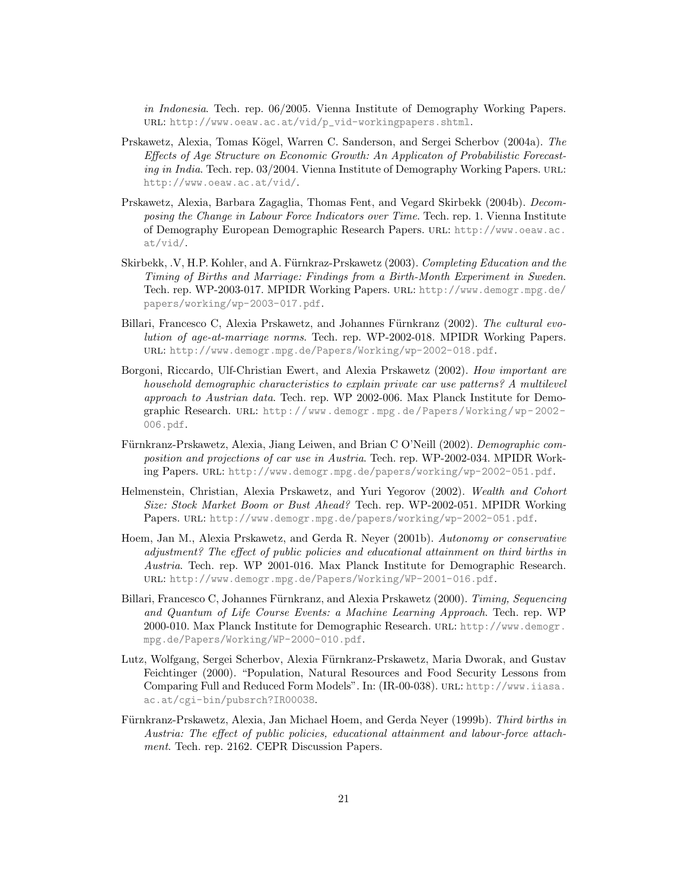in Indonesia. Tech. rep. 06/2005. Vienna Institute of Demography Working Papers. url: [http://www.oeaw.ac.at/vid/p\\_vid-workingpapers.shtml](http://www.oeaw.ac.at/vid/p_vid-workingpapers.shtml).

- Prskawetz, Alexia, Tomas Kögel, Warren C. Sanderson, and Sergei Scherbov (2004a). The Effects of Age Structure on Economic Growth: An Applicaton of Probabilistic Forecasting in India. Tech. rep. 03/2004. Vienna Institute of Demography Working Papers. URL: <http://www.oeaw.ac.at/vid/>.
- Prskawetz, Alexia, Barbara Zagaglia, Thomas Fent, and Vegard Skirbekk (2004b). Decomposing the Change in Labour Force Indicators over Time. Tech. rep. 1. Vienna Institute of Demography European Demographic Research Papers. url: [http://www.oeaw.ac.](http://www.oeaw.ac.at/vid/) [at/vid/](http://www.oeaw.ac.at/vid/).
- Skirbekk, V, H.P. Kohler, and A. Fürnkraz-Prskawetz (2003). Completing Education and the Timing of Births and Marriage: Findings from a Birth-Month Experiment in Sweden. Tech. rep. WP-2003-017. MPIDR Working Papers. url: [http://www.demogr.mpg.de/](http://www.demogr.mpg.de/papers/working/wp-2003-017.pdf) [papers/working/wp-2003-017.pdf](http://www.demogr.mpg.de/papers/working/wp-2003-017.pdf).
- Billari, Francesco C, Alexia Prskawetz, and Johannes Fürnkranz (2002). The cultural evolution of age-at-marriage norms. Tech. rep. WP-2002-018. MPIDR Working Papers. url: <http://www.demogr.mpg.de/Papers/Working/wp-2002-018.pdf>.
- Borgoni, Riccardo, Ulf-Christian Ewert, and Alexia Prskawetz (2002). How important are household demographic characteristics to explain private car use patterns? A multilevel approach to Austrian data. Tech. rep. WP 2002-006. Max Planck Institute for Demographic Research. url: [http://www.demogr.mpg.de/Papers/Working/wp- 2002-](http://www.demogr.mpg.de/Papers/Working/wp-2002-006.pdf) [006.pdf](http://www.demogr.mpg.de/Papers/Working/wp-2002-006.pdf).
- Fürnkranz-Prskawetz, Alexia, Jiang Leiwen, and Brian C O'Neill (2002). Demographic composition and projections of car use in Austria. Tech. rep. WP-2002-034. MPIDR Working Papers. url: <http://www.demogr.mpg.de/papers/working/wp-2002-051.pdf>.
- Helmenstein, Christian, Alexia Prskawetz, and Yuri Yegorov (2002). Wealth and Cohort Size: Stock Market Boom or Bust Ahead? Tech. rep. WP-2002-051. MPIDR Working Papers. URL: <http://www.demogr.mpg.de/papers/working/wp-2002-051.pdf>.
- Hoem, Jan M., Alexia Prskawetz, and Gerda R. Neyer (2001b). Autonomy or conservative adjustment? The effect of public policies and educational attainment on third births in Austria. Tech. rep. WP 2001-016. Max Planck Institute for Demographic Research. url: <http://www.demogr.mpg.de/Papers/Working/WP-2001-016.pdf>.
- Billari, Francesco C, Johannes Fürnkranz, and Alexia Prskawetz (2000). Timing, Sequencing and Quantum of Life Course Events: a Machine Learning Approach. Tech. rep. WP 2000-010. Max Planck Institute for Demographic Research. url: [http://www.demogr.](http://www.demogr.mpg.de/Papers/Working/WP-2000-010.pdf) [mpg.de/Papers/Working/WP-2000-010.pdf](http://www.demogr.mpg.de/Papers/Working/WP-2000-010.pdf).
- Lutz, Wolfgang, Sergei Scherbov, Alexia Fürnkranz-Prskawetz, Maria Dworak, and Gustav Feichtinger (2000). "Population, Natural Resources and Food Security Lessons from Comparing Full and Reduced Form Models". In: (IR-00-038). url: [http://www.iiasa.](http://www.iiasa.ac.at/cgi-bin/pubsrch?IR00038) [ac.at/cgi-bin/pubsrch?IR00038](http://www.iiasa.ac.at/cgi-bin/pubsrch?IR00038).
- Fürnkranz-Prskawetz, Alexia, Jan Michael Hoem, and Gerda Neyer (1999b). Third births in Austria: The effect of public policies, educational attainment and labour-force attachment. Tech. rep. 2162. CEPR Discussion Papers.